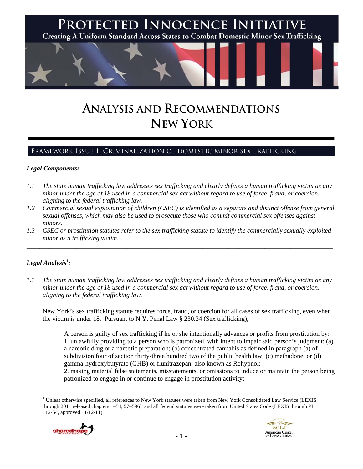

# **ANALYSIS AND RECOMMENDATIONS NEW YORK**

# Framework Issue 1: Criminalization of domestic minor sex trafficking

## *Legal Components:*

- *1.1 The state human trafficking law addresses sex trafficking and clearly defines a human trafficking victim as any minor under the age of 18 used in a commercial sex act without regard to use of force, fraud, or coercion, aligning to the federal trafficking law.*
- *1.2 Commercial sexual exploitation of children (CSEC) is identified as a separate and distinct offense from general sexual offenses, which may also be used to prosecute those who commit commercial sex offenses against minors.*
- *1.3 CSEC or prostitution statutes refer to the sex trafficking statute to identify the commercially sexually exploited minor as a trafficking victim.*  \_\_\_\_\_\_\_\_\_\_\_\_\_\_\_\_\_\_\_\_\_\_\_\_\_\_\_\_\_\_\_\_\_\_\_\_\_\_\_\_\_\_\_\_\_\_\_\_\_\_\_\_\_\_\_\_\_\_\_\_\_\_\_\_\_\_\_\_\_\_\_\_\_\_\_\_\_\_\_\_\_\_\_\_\_\_\_\_\_\_\_\_\_\_

# $\bm{\mathit{Legal\, Analysis}^{\text{!}}:}$

*1.1 The state human trafficking law addresses sex trafficking and clearly defines a human trafficking victim as any minor under the age of 18 used in a commercial sex act without regard to use of force, fraud, or coercion, aligning to the federal trafficking law.* 

New York's sex trafficking statute requires force, fraud, or coercion for all cases of sex trafficking, even when the victim is under 18. Pursuant to N.Y. Penal Law § 230.34 (Sex trafficking),

A person is guilty of sex trafficking if he or she intentionally advances or profits from prostitution by: 1. unlawfully providing to a person who is patronized, with intent to impair said person's judgment: (a) a narcotic drug or a narcotic preparation; (b) concentrated cannabis as defined in paragraph (a) of subdivision four of section thirty-three hundred two of the public health law; (c) methadone; or (d) gamma-hydroxybutyrate (GHB) or flunitrazepan, also known as Rohypnol;

2. making material false statements, misstatements, or omissions to induce or maintain the person being patronized to engage in or continue to engage in prostitution activity;

 $\overline{a}$ <sup>1</sup> Unless otherwise specified, all references to New York statutes were taken from New York Consolidated Law Service (LEXIS through 2011 released chapters 1–54, 57–596) and all federal statutes were taken from United States Code (LEXIS through PL 112-54, approved 11/12/11).



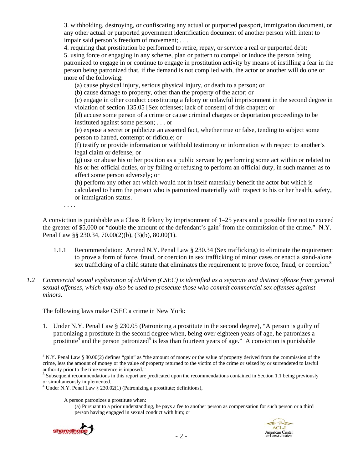3. withholding, destroying, or confiscating any actual or purported passport, immigration document, or any other actual or purported government identification document of another person with intent to impair said person's freedom of movement; . . .

4. requiring that prostitution be performed to retire, repay, or service a real or purported debt; 5. using force or engaging in any scheme, plan or pattern to compel or induce the person being patronized to engage in or continue to engage in prostitution activity by means of instilling a fear in the person being patronized that, if the demand is not complied with, the actor or another will do one or more of the following:

(a) cause physical injury, serious physical injury, or death to a person; or

(b) cause damage to property, other than the property of the actor; or

(c) engage in other conduct constituting a felony or unlawful imprisonment in the second degree in violation of section 135.05 [Sex offenses; lack of consent] of this chapter; or

(d) accuse some person of a crime or cause criminal charges or deportation proceedings to be instituted against some person; . . . or

(e) expose a secret or publicize an asserted fact, whether true or false, tending to subject some person to hatred, contempt or ridicule; or

(f) testify or provide information or withhold testimony or information with respect to another's legal claim or defense; or

(g) use or abuse his or her position as a public servant by performing some act within or related to his or her official duties, or by failing or refusing to perform an official duty, in such manner as to affect some person adversely; or

(h) perform any other act which would not in itself materially benefit the actor but which is calculated to harm the person who is patronized materially with respect to his or her health, safety, or immigration status.

. . . .

A conviction is punishable as a Class B felony by imprisonment of 1–25 years and a possible fine not to exceed the greater of \$5,000 or "double the amount of the defendant's gain<sup>2</sup> from the commission of the crime." N.Y. Penal Law §§ 230.34, 70.00(2)(b), (3)(b), 80.00(1).

- 1.1.1 Recommendation: Amend N.Y. Penal Law § 230.34 (Sex trafficking) to eliminate the requirement to prove a form of force, fraud, or coercion in sex trafficking of minor cases or enact a stand-alone sex trafficking of a child statute that eliminates the requirement to prove force, fraud, or coercion.<sup>3</sup>
- *1.2 Commercial sexual exploitation of children (CSEC) is identified as a separate and distinct offense from general sexual offenses, which may also be used to prosecute those who commit commercial sex offenses against minors.*

The following laws make CSEC a crime in New York:

1. Under N.Y. Penal Law § 230.05 (Patronizing a prostitute in the second degree), "A person is guilty of patronizing a prostitute in the second degree when, being over eighteen years of age, he patronizes a prostitute<sup>4</sup> and the person patronized<sup>5</sup> is less than fourteen years of age." A conviction is punishable

<sup>(</sup>a) Pursuant to a prior understanding, he pays a fee to another person as compensation for such person or a third person having engaged in sexual conduct with him; or





 $\overline{a}$ <sup>2</sup> N.Y. Penal Law § 80.00(2) defines "gain" as "the amount of money or the value of property derived from the commission of the crime, less the amount of money or the value of property returned to the victim of the crime or seized by or surrendered to lawful authority prior to the time sentence is imposed."

<sup>&</sup>lt;sup>3</sup> Subsequent recommendations in this report are predicated upon the recommendations contained in Section 1.1 being previously or simultaneously implemented.<br><sup>4</sup> Under N.Y. Penal Law § 230.02(1) (Patronizing a prostitute; definitions),

A person patronizes a prostitute when: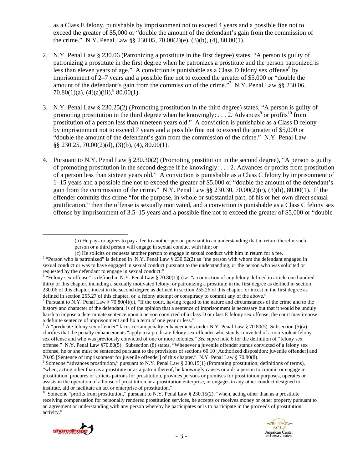as a Class E felony, punishable by imprisonment not to exceed 4 years and a possible fine not to exceed the greater of \$5,000 or "double the amount of the defendant's gain from the commission of the crime." N.Y. Penal Law §§ 230.05, 70.00(2)(e), (3)(b), (4), 80.00(1).

- 2. N.Y. Penal Law § 230.06 (Patronizing a prostitute in the first degree) states, "A person is guilty of patronizing a prostitute in the first degree when he patronizes a prostitute and the person patronized is less than eleven years of age." A conviction is punishable as a Class D felony sex offense<sup>6</sup> by imprisonment of 2–7 years and a possible fine not to exceed the greater of \$5,000 or "double the amount of the defendant's gain from the commission of the crime."<sup>7</sup> N.Y. Penal Law §§ 230.06, 70.80(1)(a),  $(4)(a)(iii)$ ,  $80.00(1)$ .
- 3. N.Y. Penal Law § 230.25(2) (Promoting prostitution in the third degree) states, "A person is guilty of promoting prostitution in the third degree when he knowingly: ... 2. Advances<sup>9</sup> or profits<sup>10</sup> from prostitution of a person less than nineteen years old." A conviction is punishable as a Class D felony by imprisonment not to exceed 7 years and a possible fine not to exceed the greater of \$5,000 or "double the amount of the defendant's gain from the commission of the crime." N.Y. Penal Law §§ 230.25, 70.00(2)(d), (3)(b), (4), 80.00(1).
- 4. Pursuant to N.Y. Penal Law § 230.30(2) (Promoting prostitution in the second degree), "A person is guilty of promoting prostitution in the second degree if he knowingly: . . . 2. Advances or profits from prostitution of a person less than sixteen years old." A conviction is punishable as a Class C felony by imprisonment of 1–15 years and a possible fine not to exceed the greater of \$5,000 or "double the amount of the defendant's gain from the commission of the crime." N.Y. Penal Law  $\S$ § 230.30, 70.00(2)(c), (3)(b), 80.00(1). If the offender commits this crime "for the purpose, in whole or substantial part, of his or her own direct sexual gratification," then the offense is sexually motivated, and a conviction is punishable as a Class C felony sex offense by imprisonment of 3.5–15 years and a possible fine not to exceed the greater of \$5,000 or "double

<sup>&</sup>lt;sup>10</sup> Someone "profits from prostitution," pursuant to N.Y. Penal Law § 230.15(2), "when, acting other than as a prostitute receiving compensation for personally rendered prostitution services, he accepts or receives money or other property pursuant to an agreement or understanding with any person whereby he participates or is to participate in the proceeds of prostitution activity."





 <sup>(</sup>b) He pays or agrees to pay a fee to another person pursuant to an understanding that in return therefor such person or a third person will engage in sexual conduct with him; or

<sup>(</sup>c) He solicits or requests another person to engage in sexual conduct with him in return for a fee. 5

<sup>&</sup>lt;sup>5</sup> "Person who is patronized" is defined in N.Y. Penal Law  $\S$  230.02(2) as "the person with whom the defendant engaged in sexual conduct or was to have engaged in sexual conduct pursuant to the understanding, or the person who was solicited or requested by the defendant to engage in sexual conduct."

<sup>&</sup>lt;sup>6</sup> "Felony sex offense" is defined in N.Y. Penal Law § 70.80(1)(a) as "a conviction of any felony defined in article one hundred thirty of this chapter, including a sexually motivated felony, or patronizing a prostitute in the first degree as defined in section 230.06 of this chapter, incest in the second degree as defined in section 255.26 of this chapter, or incest in the first degree as defined in section 255.27 of this chapter, or a felony attempt or conspiracy to commit any of the above."

<sup>&</sup>lt;sup>7</sup> Pursuant to N.Y. Penal Law § 70.80(4)(c), "If the court, having regard to the nature and circumstances of the crime and to the history and character of the defendant, is of the opinion that a sentence of imprisonment is necessary but that it would be unduly harsh to impose a determinate sentence upon a person convicted of a class D or class E felony sex offense, the court may impose a definite sentence of imprisonment and fix a term of one year or less."

 $8$  A "predicate felony sex offender" faces certain penalty enhancements under N.Y. Penal Law § 70.80(5). Subsection (5)(a) clarifies that the penalty enhancements "apply to a predicate felony sex offender who stands convicted of a non-violent felony sex offense and who was previously convicted of one or more felonies." *See supra* note 6 for the definition of "felony sex offense." N.Y. Penal Law §70.80(5). Subsection (8) states, "Whenever a juvenile offender stands convicted of a felony sex offense, he or she must be sentenced pursuant to the provisions of sections 60.10 [Authorized disposition; juvenile offender] and 70.05 [Sentence of imprisonment for juvenile offender] of this chapter." N.Y. Penal Law § 70.80(8).

<sup>&</sup>lt;sup>9</sup> Someone "advances prostitution," pursuant to N.Y. Penal Law  $\S$  230.15(1) (Promoting prostitution; definitions of terms), "when, acting other than as a prostitute or as a patron thereof, he knowingly causes or aids a person to commit or engage in prostitution, procures or solicits patrons for prostitution, provides persons or premises for prostitution purposes, operates or assists in the operation of a house of prostitution or a prostitution enterprise, or engages in any other conduct designed to institute, aid or facilitate an act or enterprise of prostitution."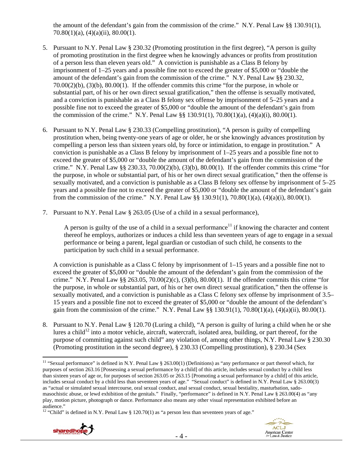the amount of the defendant's gain from the commission of the crime." N.Y. Penal Law §§ 130.91(1), 70.80(1)(a), (4)(a)(ii), 80.00(1).

- 5. Pursuant to N.Y. Penal Law § 230.32 (Promoting prostitution in the first degree), "A person is guilty of promoting prostitution in the first degree when he knowingly advances or profits from prostitution of a person less than eleven years old." A conviction is punishable as a Class B felony by imprisonment of 1–25 years and a possible fine not to exceed the greater of \$5,000 or "double the amount of the defendant's gain from the commission of the crime." N.Y. Penal Law §§ 230.32, 70.00(2)(b), (3)(b), 80.00(1). If the offender commits this crime "for the purpose, in whole or substantial part, of his or her own direct sexual gratification," then the offense is sexually motivated, and a conviction is punishable as a Class B felony sex offense by imprisonment of 5–25 years and a possible fine not to exceed the greater of \$5,000 or "double the amount of the defendant's gain from the commission of the crime." N.Y. Penal Law  $\S$ § 130.91(1), 70.80(1)(a), (4)(a)(i), 80.00(1).
- 6. Pursuant to N.Y. Penal Law § 230.33 (Compelling prostitution), "A person is guilty of compelling prostitution when, being twenty-one years of age or older, he or she knowingly advances prostitution by compelling a person less than sixteen years old, by force or intimidation, to engage in prostitution." A conviction is punishable as a Class B felony by imprisonment of 1–25 years and a possible fine not to exceed the greater of \$5,000 or "double the amount of the defendant's gain from the commission of the crime." N.Y. Penal Law  $\S$  230.33, 70.00(2)(b), (3)(b), 80.00(1). If the offender commits this crime "for the purpose, in whole or substantial part, of his or her own direct sexual gratification," then the offense is sexually motivated, and a conviction is punishable as a Class B felony sex offense by imprisonment of 5–25 years and a possible fine not to exceed the greater of \$5,000 or "double the amount of the defendant's gain from the commission of the crime." N.Y. Penal Law §§ 130.91(1), 70.80(1)(a), (4)(a)(i), 80.00(1).
- 7. Pursuant to N.Y. Penal Law § 263.05 (Use of a child in a sexual performance),

A person is guilty of the use of a child in a sexual performance<sup>11</sup> if knowing the character and content thereof he employs, authorizes or induces a child less than seventeen years of age to engage in a sexual performance or being a parent, legal guardian or custodian of such child, he consents to the participation by such child in a sexual performance.

A conviction is punishable as a Class C felony by imprisonment of 1–15 years and a possible fine not to exceed the greater of \$5,000 or "double the amount of the defendant's gain from the commission of the crime." N.Y. Penal Law  $\S$  263.05, 70.00(2)(c), (3)(b), 80.00(1). If the offender commits this crime "for the purpose, in whole or substantial part, of his or her own direct sexual gratification," then the offense is sexually motivated, and a conviction is punishable as a Class C felony sex offense by imprisonment of 3.5– 15 years and a possible fine not to exceed the greater of \$5,000 or "double the amount of the defendant's gain from the commission of the crime." N.Y. Penal Law §§ 130.91(1), 70.80(1)(a), (4)(a)(ii), 80.00(1).

8. Pursuant to N.Y. Penal Law § 120.70 (Luring a child), "A person is guilty of luring a child when he or she lures a child<sup>12</sup> into a motor vehicle, aircraft, watercraft, isolated area, building, or part thereof, for the purpose of committing against such child" any violation of, among other things, N.Y. Penal Law § 230.30 (Promoting prostitution in the second degree), § 230.33 (Compelling prostitution), § 230.34 (Sex

<sup>&</sup>lt;sup>12</sup> "Child" is defined in N.Y. Penal Law  $\S$  120.70(1) as "a person less than seventeen years of age."





 $\overline{a}$ <sup>11</sup> "Sexual performance" is defined in N.Y. Penal Law § 263.00(1) (Definitions) as "any performance or part thereof which, for purposes of section 263.16 [Possessing a sexual performance by a child] of this article, includes sexual conduct by a child less than sixteen years of age or, for purposes of section 263.05 or 263.15 [Promoting a sexual performance by a child] of this article, includes sexual conduct by a child less than seventeen years of age." "Sexual conduct" is defined in N.Y. Penal Law § 263.00(3) as "actual or simulated sexual intercourse, oral sexual conduct, anal sexual conduct, sexual bestiality, masturbation, sadomasochistic abuse, or lewd exhibition of the genitals." Finally, "performance" is defined in N.Y. Penal Law § 263.00(4) as "any play, motion picture, photograph or dance. Performance also means any other visual representation exhibited before an audience."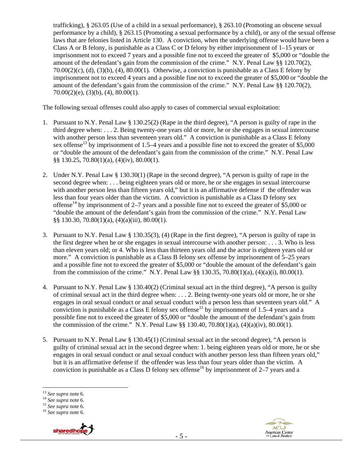trafficking), § 263.05 (Use of a child in a sexual performance), § 263.10 (Promoting an obscene sexual performance by a child), § 263.15 (Promoting a sexual performance by a child), or any of the sexual offense laws that are felonies listed in Article 130. A conviction, when the underlying offense would have been a Class A or B felony, is punishable as a Class C or D felony by either imprisonment of 1–15 years or imprisonment not to exceed 7 years and a possible fine not to exceed the greater of \$5,000 or "double the amount of the defendant's gain from the commission of the crime." N.Y. Penal Law §§ 120.70(2),  $70.00(2)(c)$ , (d), (3)(b), (4), 80.00(1). Otherwise, a conviction is punishable as a Class E felony by imprisonment not to exceed 4 years and a possible fine not to exceed the greater of \$5,000 or "double the amount of the defendant's gain from the commission of the crime." N.Y. Penal Law §§ 120.70(2),  $70.00(2)(e)$ ,  $(3)(b)$ ,  $(4)$ ,  $80.00(1)$ .

The following sexual offenses could also apply to cases of commercial sexual exploitation:

- 1. Pursuant to N.Y. Penal Law § 130.25(2) (Rape in the third degree), "A person is guilty of rape in the third degree when: . . . 2. Being twenty-one years old or more, he or she engages in sexual intercourse with another person less than seventeen years old." A conviction is punishable as a Class E felony sex offense<sup>13</sup> by imprisonment of 1.5–4 years and a possible fine not to exceed the greater of \$5,000 or "double the amount of the defendant's gain from the commission of the crime." N.Y. Penal Law §§ 130.25, 70.80(1)(a), (4)(iv), 80.00(1).
- 2. Under N.Y. Penal Law § 130.30(1) (Rape in the second degree), "A person is guilty of rape in the second degree when: . . . being eighteen years old or more, he or she engages in sexual intercourse with another person less than fifteen years old," but it is an affirmative defense if the offender was less than four years older than the victim. A conviction is punishable as a Class D felony sex offense<sup>14</sup> by imprisonment of 2–7 years and a possible fine not to exceed the greater of \$5,000 or "double the amount of the defendant's gain from the commission of the crime." N.Y. Penal Law §§ 130.30, 70.80(1)(a), (4)(a)(iii), 80.00(1).
- 3. Pursuant to N.Y. Penal Law § 130.35(3), (4) (Rape in the first degree), "A person is guilty of rape in the first degree when he or she engages in sexual intercourse with another person: . . . 3. Who is less than eleven years old; or 4. Who is less than thirteen years old and the actor is eighteen years old or more." A conviction is punishable as a Class B felony sex offense by imprisonment of 5–25 years and a possible fine not to exceed the greater of \$5,000 or "double the amount of the defendant's gain from the commission of the crime." N.Y. Penal Law  $\S$ § 130.35, 70.80(1)(a), (4)(a)(i), 80.00(1).
- 4. Pursuant to N.Y. Penal Law § 130.40(2) (Criminal sexual act in the third degree), "A person is guilty of criminal sexual act in the third degree when: . . . 2. Being twenty-one years old or more, he or she engages in oral sexual conduct or anal sexual conduct with a person less than seventeen years old." A conviction is punishable as a Class E felony sex offense<sup>15</sup> by imprisonment of 1.5–4 years and a possible fine not to exceed the greater of \$5,000 or "double the amount of the defendant's gain from the commission of the crime." N.Y. Penal Law §§ 130.40, 70.80(1)(a), (4)(a)(iv), 80.00(1).
- 5. Pursuant to N.Y. Penal Law § 130.45(1) (Criminal sexual act in the second degree), "A person is guilty of criminal sexual act in the second degree when: 1. being eighteen years old or more, he or she engages in oral sexual conduct or anal sexual conduct with another person less than fifteen years old," but it is an affirmative defense if the offender was less than four years older than the victim. A conviction is punishable as a Class D felony sex offense<sup>16</sup> by imprisonment of 2–7 years and a





<sup>&</sup>lt;sup>13</sup> See supra note 6.

<sup>&</sup>lt;sup>14</sup> *See supra* note 6.<br><sup>15</sup> *See supra* note 6.<br><sup>16</sup> *See supra* note 6.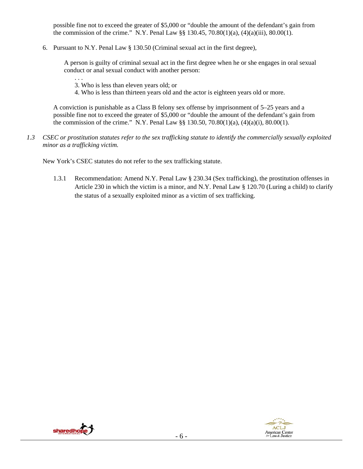possible fine not to exceed the greater of \$5,000 or "double the amount of the defendant's gain from the commission of the crime." N.Y. Penal Law §§ 130.45, 70.80(1)(a), (4)(a)(iii), 80.00(1).

6. Pursuant to N.Y. Penal Law § 130.50 (Criminal sexual act in the first degree),

A person is guilty of criminal sexual act in the first degree when he or she engages in oral sexual conduct or anal sexual conduct with another person:

- . . . 3. Who is less than eleven years old; or
- 4. Who is less than thirteen years old and the actor is eighteen years old or more.

A conviction is punishable as a Class B felony sex offense by imprisonment of 5–25 years and a possible fine not to exceed the greater of \$5,000 or "double the amount of the defendant's gain from the commission of the crime." N.Y. Penal Law §§ 130.50, 70.80(1)(a), (4)(a)(i), 80.00(1).

*1.3 CSEC or prostitution statutes refer to the sex trafficking statute to identify the commercially sexually exploited minor as a trafficking victim.* 

New York's CSEC statutes do not refer to the sex trafficking statute.

1.3.1 Recommendation: Amend N.Y. Penal Law § 230.34 (Sex trafficking), the prostitution offenses in Article 230 in which the victim is a minor, and N.Y. Penal Law § 120.70 (Luring a child) to clarify the status of a sexually exploited minor as a victim of sex trafficking.



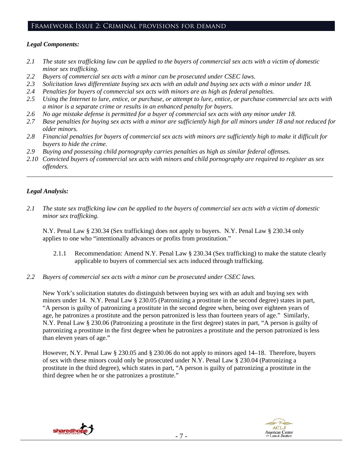# Framework Issue 2: Criminal provisions for demand

#### *Legal Components:*

- *2.1 The state sex trafficking law can be applied to the buyers of commercial sex acts with a victim of domestic minor sex trafficking.*
- *2.2 Buyers of commercial sex acts with a minor can be prosecuted under CSEC laws.*
- *2.3 Solicitation laws differentiate buying sex acts with an adult and buying sex acts with a minor under 18.*
- *2.4 Penalties for buyers of commercial sex acts with minors are as high as federal penalties.*
- *2.5 Using the Internet to lure, entice, or purchase, or attempt to lure, entice, or purchase commercial sex acts with a minor is a separate crime or results in an enhanced penalty for buyers.*
- *2.6 No age mistake defense is permitted for a buyer of commercial sex acts with any minor under 18.*
- *2.7 Base penalties for buying sex acts with a minor are sufficiently high for all minors under 18 and not reduced for older minors.*
- *2.8 Financial penalties for buyers of commercial sex acts with minors are sufficiently high to make it difficult for buyers to hide the crime.*
- *2.9 Buying and possessing child pornography carries penalties as high as similar federal offenses.*
- *2.10 Convicted buyers of commercial sex acts with minors and child pornography are required to register as sex offenders.*

\_\_\_\_\_\_\_\_\_\_\_\_\_\_\_\_\_\_\_\_\_\_\_\_\_\_\_\_\_\_\_\_\_\_\_\_\_\_\_\_\_\_\_\_\_\_\_\_\_\_\_\_\_\_\_\_\_\_\_\_\_\_\_\_\_\_\_\_\_\_\_\_\_\_\_\_\_\_\_\_\_\_\_\_\_\_\_\_\_\_\_\_\_\_

## *Legal Analysis:*

*2.1 The state sex trafficking law can be applied to the buyers of commercial sex acts with a victim of domestic minor sex trafficking.* 

N.Y. Penal Law § 230.34 (Sex trafficking) does not apply to buyers. N.Y. Penal Law § 230.34 only applies to one who "intentionally advances or profits from prostitution."

- 2.1.1 Recommendation: Amend N.Y. Penal Law § 230.34 (Sex trafficking) to make the statute clearly applicable to buyers of commercial sex acts induced through trafficking.
- *2.2 Buyers of commercial sex acts with a minor can be prosecuted under CSEC laws.*

New York's solicitation statutes do distinguish between buying sex with an adult and buying sex with minors under 14. N.Y. Penal Law § 230.05 (Patronizing a prostitute in the second degree) states in part, "A person is guilty of patronizing a prostitute in the second degree when, being over eighteen years of age, he patronizes a prostitute and the person patronized is less than fourteen years of age." Similarly, N.Y. Penal Law § 230.06 (Patronizing a prostitute in the first degree) states in part, "A person is guilty of patronizing a prostitute in the first degree when he patronizes a prostitute and the person patronized is less than eleven years of age."

However, N.Y. Penal Law § 230.05 and § 230.06 do not apply to minors aged 14–18. Therefore, buyers of sex with these minors could only be prosecuted under N.Y. Penal Law § 230.04 (Patronizing a prostitute in the third degree), which states in part, "A person is guilty of patronizing a prostitute in the third degree when he or she patronizes a prostitute."



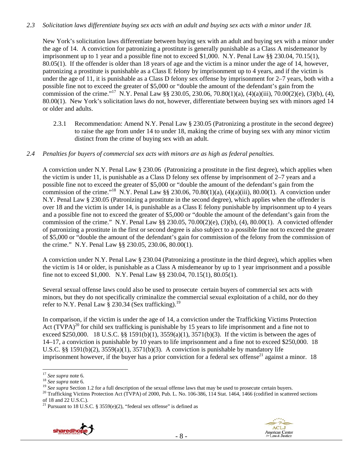# *2.3 Solicitation laws differentiate buying sex acts with an adult and buying sex acts with a minor under 18.*

New York's solicitation laws differentiate between buying sex with an adult and buying sex with a minor under the age of 14. A conviction for patronizing a prostitute is generally punishable as a Class A misdemeanor by imprisonment up to 1 year and a possible fine not to exceed \$1,000. N.Y. Penal Law §§ 230.04, 70.15(1), 80.05(1). If the offender is older than 18 years of age and the victim is a minor under the age of 14, however, patronizing a prostitute is punishable as a Class E felony by imprisonment up to 4 years, and if the victim is under the age of 11, it is punishable as a Class D felony sex offense by imprisonment for 2–7 years, both with a possible fine not to exceed the greater of \$5,000 or "double the amount of the defendant's gain from the commission of the crime."<sup>17</sup> N.Y. Penal Law §§ 230.05, 230.06, 70.80(1)(a), (4)(a)(iii), 70.00(2)(e), (3)(b), (4), 80.00(1). New York's solicitation laws do not, however, differentiate between buying sex with minors aged 14 or older and adults.

2.3.1 Recommendation: Amend N.Y. Penal Law § 230.05 (Patronizing a prostitute in the second degree) to raise the age from under 14 to under 18, making the crime of buying sex with any minor victim distinct from the crime of buying sex with an adult.

## *2.4 Penalties for buyers of commercial sex acts with minors are as high as federal penalties.*

A conviction under N.Y. Penal Law § 230.06 (Patronizing a prostitute in the first degree), which applies when the victim is under 11, is punishable as a Class D felony sex offense by imprisonment of 2–7 years and a possible fine not to exceed the greater of \$5,000 or "double the amount of the defendant's gain from the commission of the crime."<sup>18</sup> N.Y. Penal Law §§ 230.06, 70.80(1)(a), (4)(a)(iii), 80.00(1). A conviction under N.Y. Penal Law § 230.05 (Patronizing a prostitute in the second degree), which applies when the offender is over 18 and the victim is under 14, is punishable as a Class E felony punishable by imprisonment up to 4 years and a possible fine not to exceed the greater of \$5,000 or "double the amount of the defendant's gain from the commission of the crime." N.Y. Penal Law  $\S$  230.05, 70.00(2)(e), (3)(b), (4), 80.00(1). A convicted offender of patronizing a prostitute in the first or second degree is also subject to a possible fine not to exceed the greater of \$5,000 or "double the amount of the defendant's gain for commission of the felony from the commission of the crime." N.Y. Penal Law §§ 230.05, 230.06, 80.00(1).

A conviction under N.Y. Penal Law § 230.04 (Patronizing a prostitute in the third degree), which applies when the victim is 14 or older, is punishable as a Class A misdemeanor by up to 1 year imprisonment and a possible fine not to exceed \$1,000. N.Y. Penal Law §§ 230.04, 70.15(1), 80.05(1).

Several sexual offense laws could also be used to prosecute certain buyers of commercial sex acts with minors, but they do not specifically criminalize the commercial sexual exploitation of a child, nor do they refer to N.Y. Penal Law  $\S$  230.34 (Sex trafficking).<sup>19</sup>

In comparison, if the victim is under the age of 14, a conviction under the Trafficking Victims Protection Act  $(TVPA)^{20}$  for child sex trafficking is punishable by 15 years to life imprisonment and a fine not to exceed \$250,000. 18 U.S.C.  $\S$  1591(b)(1), 3559(a)(1), 3571(b)(3). If the victim is between the ages of 14–17, a conviction is punishable by 10 years to life imprisonment and a fine not to exceed \$250,000. 18 U.S.C. §§ 1591(b)(2),  $3559(a)(1)$ ,  $3571(b)(3)$ . A conviction is punishable by mandatory life imprisonment however, if the buyer has a prior conviction for a federal sex offense<sup>21</sup> against a minor. 18

<sup>&</sup>lt;sup>21</sup> Pursuant to 18 U.S.C. § 3559 $(e)(2)$ , "federal sex offense" is defined as





 $^{17}$  See supra note 6.

<sup>&</sup>lt;sup>18</sup> See supra note 6.<br><sup>19</sup> See supra Section 1.2 for a full description of the sexual offense laws that may be used to prosecute certain buyers.<br><sup>19</sup> See supra Section 1.2 for a full description of the sexual offense law of 18 and 22 U.S.C.).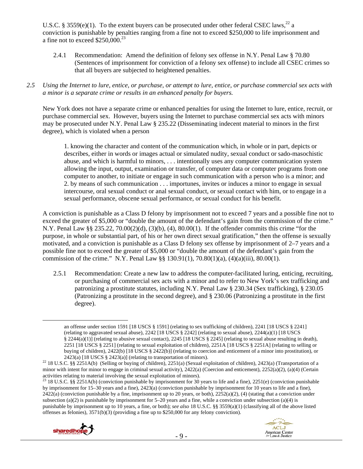U.S.C. § 3559 $(e)(1)$ . To the extent buyers can be prosecuted under other federal CSEC laws,<sup>22</sup> a conviction is punishable by penalties ranging from a fine not to exceed \$250,000 to life imprisonment and a fine not to exceed  $$250,000.<sup>23</sup>$ 

- 2.4.1 Recommendation: Amend the definition of felony sex offense in N.Y. Penal Law § 70.80 (Sentences of imprisonment for conviction of a felony sex offense) to include all CSEC crimes so that all buyers are subjected to heightened penalties.
- *2.5 Using the Internet to lure, entice, or purchase, or attempt to lure, entice, or purchase commercial sex acts with a minor is a separate crime or results in an enhanced penalty for buyers.*

New York does not have a separate crime or enhanced penalties for using the Internet to lure, entice, recruit, or purchase commercial sex. However, buyers using the Internet to purchase commercial sex acts with minors may be prosecuted under N.Y. Penal Law § 235.22 (Disseminating indecent material to minors in the first degree), which is violated when a person

1. knowing the character and content of the communication which, in whole or in part, depicts or describes, either in words or images actual or simulated nudity, sexual conduct or sado-masochistic abuse, and which is harmful to minors, . . . intentionally uses any computer communication system allowing the input, output, examination or transfer, of computer data or computer programs from one computer to another, to initiate or engage in such communication with a person who is a minor; and 2. by means of such communication . . . importunes, invites or induces a minor to engage in sexual intercourse, oral sexual conduct or anal sexual conduct, or sexual contact with him, or to engage in a sexual performance, obscene sexual performance, or sexual conduct for his benefit.

A conviction is punishable as a Class D felony by imprisonment not to exceed 7 years and a possible fine not to exceed the greater of \$5,000 or "double the amount of the defendant's gain from the commission of the crime." N.Y. Penal Law §§ 235.22, 70.00(2)(d), (3)(b), (4), 80.00(1). If the offender commits this crime "for the purpose, in whole or substantial part, of his or her own direct sexual gratification," then the offense is sexually motivated, and a conviction is punishable as a Class D felony sex offense by imprisonment of 2–7 years and a possible fine not to exceed the greater of \$5,000 or "double the amount of the defendant's gain from the commission of the crime." N.Y. Penal Law §§ 130.91(1), 70.80(1)(a), (4)(a)(iii), 80.00(1).

2.5.1 Recommendation: Create a new law to address the computer-facilitated luring, enticing, recruiting, or purchasing of commercial sex acts with a minor and to refer to New York's sex trafficking and patronizing a prostitute statutes, including N.Y. Penal Law § 230.34 (Sex trafficking), § 230.05 (Patronizing a prostitute in the second degree), and § 230.06 (Patronizing a prostitute in the first degree).

<sup>&</sup>lt;sup>23</sup> 18 U.S.C. §§ 2251A(b) (conviction punishable by imprisonment for 30 years to life and a fine), 2251(e) (conviction punishable by imprisonment for 15–30 years and a fine), 2423(a) (conviction punishable by imprisonment for 10 years to life and a fine),  $2422(a)$  (conviction punishable by a fine, imprisonment up to 20 years, or both),  $2252(a)(2)$ , (4) (stating that a conviction under subsection (a)(2) is punishable by imprisonment for  $5-20$  years and a fine, while a conviction under subsection (a)(4) is punishable by imprisonment up to 10 years, a fine, or both); *see also* 18 U.S.C. §§ 3559(a)(1) (classifying all of the above listed offenses as felonies), 3571(b)(3) (providing a fine up to \$250,000 for any felony conviction).





an offense under section 1591 [18 USCS § 1591] (relating to sex trafficking of children), 2241 [18 USCS § 2241] (relating to aggravated sexual abuse), 2242 [18 USCS § 2242] (relating to sexual abuse), 2244(a)(1) [18 USCS § 2244(a)(1)] (relating to abusive sexual contact), 2245 [18 USCS § 2245] (relating to sexual abuse resulting in death), 2251 [18 USCS § 2251] (relating to sexual exploitation of children), 2251A [18 USCS § 2251A] (relating to selling or buying of children), 2422(b) [18 USCS § 2422(b)] (relating to coercion and enticement of a minor into prostitution), or

<sup>2423(</sup>a) [18 USCS § 2423(a)] (relating to transportation of minors).<br><sup>22</sup> 18 U.S.C. §§ 2251A(b) (Selling or buying of children), 2251(a) (Sexual exploitation of children), 2423(a) (Transportation of a minor with intent for minor to engage in criminal sexual activity), 2422(a) (Coercion and enticement), 2252(a)(2), (a)(4) (Certain activities relating to material involving the sexual exploitation of minors).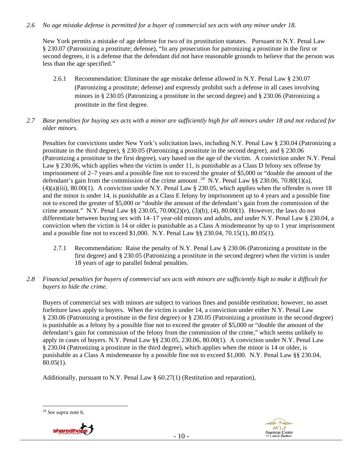# *2.6 No age mistake defense is permitted for a buyer of commercial sex acts with any minor under 18.*

New York permits a mistake of age defense for two of its prostitution statutes. Pursuant to N.Y. Penal Law § 230.07 (Patronizing a prostitute; defense), "In any prosecution for patronizing a prostitute in the first or second degrees, it is a defense that the defendant did not have reasonable grounds to believe that the person was less than the age specified."

- 2.6.1 Recommendation: Eliminate the age mistake defense allowed in N.Y. Penal Law § 230.07 (Patronizing a prostitute; defense) and expressly prohibit such a defense in all cases involving minors in § 230.05 (Patronizing a prostitute in the second degree) and § 230.06 (Patronizing a prostitute in the first degree.
- *2.7 Base penalties for buying sex acts with a minor are sufficiently high for all minors under 18 and not reduced for older minors.*

Penalties for convictions under New York's solicitation laws, including N.Y. Penal Law § 230.04 (Patronizing a prostitute in the third degree), § 230.05 (Patronizing a prostitute in the second degree), and § 230.06 (Patronizing a prostitute in the first degree), vary based on the age of the victim. A conviction under N.Y. Penal Law § 230.06, which applies when the victim is under 11, is punishable as a Class D felony sex offense by imprisonment of 2–7 years and a possible fine not to exceed the greater of \$5,000 or "double the amount of the defendant's gain from the commission of the crime amount  $^{24}$  N.Y. Penal Law §§ 230.06, 70.80(1)(a), (4)(a)(iii), 80.00(1). A conviction under N.Y. Penal Law § 230.05, which applies when the offender is over 18 and the minor is under 14, is punishable as a Class E felony by imprisonment up to 4 years and a possible fine not to exceed the greater of \$5,000 or "double the amount of the defendant's gain from the commission of the crime amount." N.Y. Penal Law  $\S$  230.05, 70.00(2)(e), (3)(b), (4), 80.00(1). However, the laws do not differentiate between buying sex with 14–17 year-old minors and adults, and under N.Y. Penal Law § 230.04, a conviction when the victim is 14 or older is punishable as a Class A misdemeanor by up to 1 year imprisonment and a possible fine not to exceed \$1,000. N.Y. Penal Law §§ 230.04, 70.15(1), 80.05(1).

- 2.7.1 Recommendation: Raise the penalty of N.Y. Penal Law § 230.06 (Patronizing a prostitute in the first degree) and § 230.05 (Patronizing a prostitute in the second degree) when the victim is under 18 years of age to parallel federal penalties.
- *2.8 Financial penalties for buyers of commercial sex acts with minors are sufficiently high to make it difficult for buyers to hide the crime.*

Buyers of commercial sex with minors are subject to various fines and possible restitution; however, no asset forfeiture laws apply to buyers. When the victim is under 14, a conviction under either N.Y. Penal Law § 230.06 (Patronizing a prostitute in the first degree) or § 230.05 (Patronizing a prostitute in the second degree) is punishable as a felony by a possible fine not to exceed the greater of \$5,000 or "double the amount of the defendant's gain for commission of the felony from the commission of the crime," which seems unlikely to apply in cases of buyers. N.Y. Penal Law §§ 230.05, 230.06, 80.00(1). A conviction under N.Y. Penal Law § 230.04 (Patronizing a prostitute in the third degree), which applies when the minor is 14 or older, is punishable as a Class A misdemeanor by a possible fine not to exceed \$1,000. N.Y. Penal Law §§ 230.04,  $80.05(1)$ .

Additionally, pursuant to N.Y. Penal Law § 60.27(1) (Restitution and reparation),

 $\overline{a}$ 





<sup>24</sup> *See supra* note 6.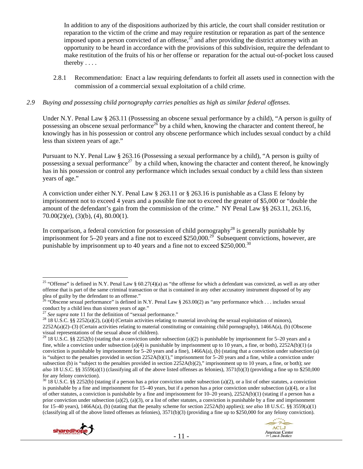In addition to any of the dispositions authorized by this article, the court shall consider restitution or reparation to the victim of the crime and may require restitution or reparation as part of the sentence imposed upon a person convicted of an offense,  $^{25}$  and after providing the district attorney with an opportunity to be heard in accordance with the provisions of this subdivision, require the defendant to make restitution of the fruits of his or her offense or reparation for the actual out-of-pocket loss caused thereby . . . .

2.8.1 Recommendation: Enact a law requiring defendants to forfeit all assets used in connection with the commission of a commercial sexual exploitation of a child crime.

## *2.9 Buying and possessing child pornography carries penalties as high as similar federal offenses.*

Under N.Y. Penal Law § 263.11 (Possessing an obscene sexual performance by a child), "A person is guilty of possessing an obscene sexual performance<sup>26</sup> by a child when, knowing the character and content thereof, he knowingly has in his possession or control any obscene performance which includes sexual conduct by a child less than sixteen years of age."

Pursuant to N.Y. Penal Law § 263.16 (Possessing a sexual performance by a child), "A person is guilty of possessing a sexual performance<sup>27</sup> by a child when, knowing the character and content thereof, he knowingly has in his possession or control any performance which includes sexual conduct by a child less than sixteen years of age."

A conviction under either N.Y. Penal Law § 263.11 or § 263.16 is punishable as a Class E felony by imprisonment not to exceed 4 years and a possible fine not to exceed the greater of \$5,000 or "double the amount of the defendant's gain from the commission of the crime." NY Penal Law §§ 263.11, 263.16,  $70.00(2)(e)$ ,  $(3)(b)$ ,  $(4)$ ,  $80.00(1)$ .

In comparison, a federal conviction for possession of child pornography<sup>28</sup> is generally punishable by imprisonment for 5–20 years and a fine not to exceed \$250,000.<sup>29</sup> Subsequent convictions, however, are punishable by imprisonment up to 40 years and a fine not to exceed  $$250,000.<sup>30</sup>$ 

 $30\,$  18 U.S.C. §§ 2252(b) (stating if a person has a prior conviction under subsection (a)(2), or a list of other statutes, a conviction is punishable by a fine and imprisonment for 15–40 years, but if a person has a prior conviction under subsection (a)(4), or a list of other statutes, a conviction is punishable by a fine and imprisonment for  $10-20$  years),  $2252A(b)(1)$  (stating if a person has a prior conviction under subsection (a)(2), (a)(3), or a list of other statutes, a conviction is punishable by a fine and imprisonment for 15–40 years), 1466A(a), (b) (stating that the penalty scheme for section 2252A(b) applies); *see also* 18 U.S.C. §§ 3559(a)(1) (classifying all of the above listed offenses as felonies),  $3571(b)(3)$  (providing a fine up to \$250,000 for any felony conviction).



 $\overline{a}$ 



<sup>&</sup>lt;sup>25</sup> "Offense" is defined in N.Y. Penal Law §  $60.27(4)(a)$  as "the offense for which a defendant was convicted, as well as any other offense that is part of the same criminal transaction or that is contained in any other accusatory instrument disposed of by any plea of guilty by the defendant to an offense."

<sup>&</sup>lt;sup>26</sup> "Obscene sexual performance" is defined in N.Y. Penal Law § 263.00(2) as "any performance which . . . includes sexual conduct by a child less than sixteen years of age."<br>
<sup>27</sup> See supra note 11 for the definition of "sexual performance."<br>
<sup>28</sup> 18 U.S.C. §§ 2252(a)(2), (a)(4) (Certain activities relating to material involving the sexual e

<sup>2252</sup>A(a)(2)–(3) (Certain activities relating to material constituting or containing child pornography), 1466A(a), (b) (Obscene visual representations of the sexual abuse of children).

<sup>&</sup>lt;sup>29</sup> 18 U.S.C. §§ 2252(b) (stating that a conviction under subsection (a)(2) is punishable by imprisonment for 5–20 years and a fine, while a conviction under subsection (a)(4) is punishable by imprisonment up to 10 years, a fine, or both),  $2252A(b)(1)$  (a conviction is punishable by imprisonment for 5–20 years and a fine), 1466A(a), (b) (stating that a conviction under subsection (a) is "subject to the penalties provided in section 2252A(b)(1)," imprisonment for 5–20 years and a fine, while a conviction under subsection (b) is "subject to the penalties provided in section 2252A(b)(2)," imprisonment up to 10 years, a fine, or both); *see also* 18 U.S.C. §§ 3559(a)(1) (classifying all of the above listed offenses as felonies), 3571(b)(3) (providing a fine up to \$250,000 for any felony conviction).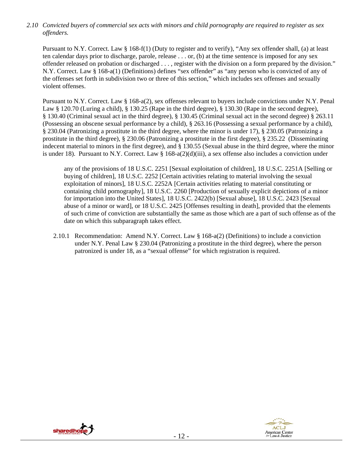# *2.10 Convicted buyers of commercial sex acts with minors and child pornography are required to register as sex offenders.*

Pursuant to N.Y. Correct. Law § 168-f(1) (Duty to register and to verify), "Any sex offender shall, (a) at least ten calendar days prior to discharge, parole, release . . . or, (b) at the time sentence is imposed for any sex offender released on probation or discharged . . . , register with the division on a form prepared by the division." N.Y. Correct. Law § 168-a(1) (Definitions) defines "sex offender" as "any person who is convicted of any of the offenses set forth in subdivision two or three of this section," which includes sex offenses and sexually violent offenses.

Pursuant to N.Y. Correct. Law § 168-a(2), sex offenses relevant to buyers include convictions under N.Y. Penal Law § 120.70 (Luring a child), § 130.25 (Rape in the third degree), § 130.30 (Rape in the second degree), § 130.40 (Criminal sexual act in the third degree), § 130.45 (Criminal sexual act in the second degree) § 263.11 (Possessing an obscene sexual performance by a child), § 263.16 (Possessing a sexual performance by a child), § 230.04 (Patronizing a prostitute in the third degree, where the minor is under 17), § 230.05 (Patronizing a prostitute in the third degree), § 230.06 (Patronizing a prostitute in the first degree), § 235.22 (Disseminating indecent material to minors in the first degree), and § 130.55 (Sexual abuse in the third degree, where the minor is under 18). Pursuant to N.Y. Correct. Law  $\S$  168-a(2)(d)(iii), a sex offense also includes a conviction under

any of the provisions of 18 U.S.C. 2251 [Sexual exploitation of children], 18 U.S.C. 2251A [Selling or buying of children], 18 U.S.C. 2252 [Certain activities relating to material involving the sexual exploitation of minors], 18 U.S.C. 2252A [Certain activities relating to material constituting or containing child pornography], 18 U.S.C. 2260 [Production of sexually explicit depictions of a minor for importation into the United States], 18 U.S.C. 2422(b) [Sexual abuse], 18 U.S.C. 2423 [Sexual abuse of a minor or ward], or 18 U.S.C. 2425 [Offenses resulting in death], provided that the elements of such crime of conviction are substantially the same as those which are a part of such offense as of the date on which this subparagraph takes effect.

2.10.1 Recommendation: Amend N.Y. Correct. Law § 168-a(2) (Definitions) to include a conviction under N.Y. Penal Law § 230.04 (Patronizing a prostitute in the third degree), where the person patronized is under 18, as a "sexual offense" for which registration is required.



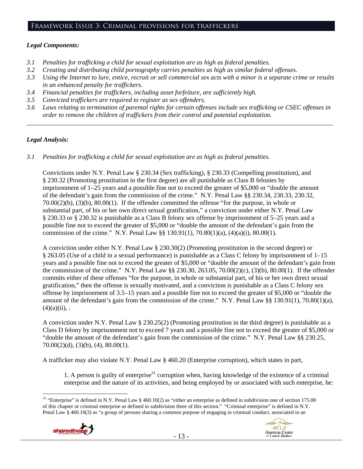# Framework Issue 3: Criminal provisions for traffickers

## *Legal Components:*

- *3.1 Penalties for trafficking a child for sexual exploitation are as high as federal penalties.*
- *3.2 Creating and distributing child pornography carries penalties as high as similar federal offenses.*
- *3.3 Using the Internet to lure, entice, recruit or sell commercial sex acts with a minor is a separate crime or results in an enhanced penalty for traffickers.*
- *3.4 Financial penalties for traffickers, including asset forfeiture, are sufficiently high.*
- *3.5 Convicted traffickers are required to register as sex offenders.*
- *3.6 Laws relating to termination of parental rights for certain offenses include sex trafficking or CSEC offenses in order to remove the children of traffickers from their control and potential exploitation. \_\_\_\_\_\_\_\_\_\_\_\_\_\_\_\_\_\_\_\_\_\_\_\_\_\_\_\_\_\_\_\_\_\_\_\_\_\_\_\_\_\_\_\_\_\_\_\_\_\_\_\_\_\_\_\_\_\_\_\_\_\_\_\_\_\_\_\_\_\_\_\_\_\_\_\_\_\_\_\_\_\_\_\_\_\_\_\_\_\_\_\_\_\_*

## *Legal Analysis:*

*3.1 Penalties for trafficking a child for sexual exploitation are as high as federal penalties.* 

Convictions under N.Y. Penal Law § 230.34 (Sex trafficking), § 230.33 (Compelling prostitution), and § 230.32 (Promoting prostitution in the first degree) are all punishable as Class B felonies by imprisonment of 1–25 years and a possible fine not to exceed the greater of \$5,000 or "double the amount of the defendant's gain from the commission of the crime." N.Y. Penal Law §§ 230.34, 230.33, 230.32, 70.00(2)(b), (3)(b), 80.00(1). If the offender committed the offense "for the purpose, in whole or substantial part, of his or her own direct sexual gratification," a conviction under either N.Y. Penal Law § 230.33 or § 230.32 is punishable as a Class B felony sex offense by imprisonment of 5–25 years and a possible fine not to exceed the greater of \$5,000 or "double the amount of the defendant's gain from the commission of the crime." N.Y. Penal Law §§ 130.91(1), 70.80(1)(a), (4)(a)(i), 80.00(1).

A conviction under either N.Y. Penal Law § 230.30(2) (Promoting prostitution in the second degree) or § 263.05 (Use of a child in a sexual performance) is punishable as a Class C felony by imprisonment of 1–15 years and a possible fine not to exceed the greater of \$5,000 or "double the amount of the defendant's gain from the commission of the crime." N.Y. Penal Law §§ 230.30, 263.05, 70.00(2)(c), (3)(b), 80.00(1). If the offender commits either of these offenses "for the purpose, in whole or substantial part, of his or her own direct sexual gratification," then the offense is sexually motivated, and a conviction is punishable as a Class C felony sex offense by imprisonment of 3.5–15 years and a possible fine not to exceed the greater of \$5,000 or "double the amount of the defendant's gain from the commission of the crime." N.Y. Penal Law §§ 130.91(1), 70.80(1)(a),  $(4)(a)(ii)$ , .

A conviction under N.Y. Penal Law § 230.25(2) (Promoting prostitution in the third degree) is punishable as a Class D felony by imprisonment not to exceed 7 years and a possible fine not to exceed the greater of \$5,000 or "double the amount of the defendant's gain from the commission of the crime." N.Y. Penal Law §§ 230.25,  $70.00(2)(d)$ ,  $(3)(b)$ ,  $(4)$ ,  $80.00(1)$ .

A trafficker may also violate N.Y. Penal Law § 460.20 (Enterprise corruption), which states in part,

1. A person is guilty of enterprise<sup>31</sup> corruption when, having knowledge of the existence of a criminal enterprise and the nature of its activities, and being employed by or associated with such enterprise, he:

 $\overline{a}$  $31$  "Enterprise" is defined in N.Y. Penal Law § 460.10(2) as "either an enterprise as defined in subdivision one of section 175.00 of this chapter or criminal enterprise as defined in subdivision three of this section." "Criminal enterprise" is defined in N.Y. Penal Law § 460.10(3) as "a group of persons sharing a common purpose of engaging in criminal conduct, associated in an



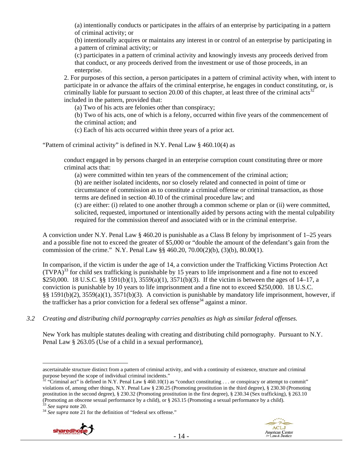(a) intentionally conducts or participates in the affairs of an enterprise by participating in a pattern of criminal activity; or

(b) intentionally acquires or maintains any interest in or control of an enterprise by participating in a pattern of criminal activity; or

(c) participates in a pattern of criminal activity and knowingly invests any proceeds derived from that conduct, or any proceeds derived from the investment or use of those proceeds, in an enterprise.

2. For purposes of this section, a person participates in a pattern of criminal activity when, with intent to participate in or advance the affairs of the criminal enterprise, he engages in conduct constituting, or, is criminally liable for pursuant to section 20.00 of this chapter, at least three of the criminal acts<sup>32</sup> included in the pattern, provided that:

(a) Two of his acts are felonies other than conspiracy;

(b) Two of his acts, one of which is a felony, occurred within five years of the commencement of the criminal action; and

(c) Each of his acts occurred within three years of a prior act.

"Pattern of criminal activity" is defined in N.Y. Penal Law § 460.10(4) as

conduct engaged in by persons charged in an enterprise corruption count constituting three or more criminal acts that:

(a) were committed within ten years of the commencement of the criminal action;

(b) are neither isolated incidents, nor so closely related and connected in point of time or circumstance of commission as to constitute a criminal offense or criminal transaction, as those terms are defined in section 40.10 of the criminal procedure law; and

(c) are either: (i) related to one another through a common scheme or plan or (ii) were committed, solicited, requested, importuned or intentionally aided by persons acting with the mental culpability required for the commission thereof and associated with or in the criminal enterprise.

A conviction under N.Y. Penal Law § 460.20 is punishable as a Class B felony by imprisonment of 1–25 years and a possible fine not to exceed the greater of \$5,000 or "double the amount of the defendant's gain from the commission of the crime." N.Y. Penal Law §§ 460.20, 70.00(2)(b), (3)(b), 80.00(1).

In comparison, if the victim is under the age of 14, a conviction under the Trafficking Victims Protection Act  $(TVPA)^{33}$  for child sex trafficking is punishable by 15 years to life imprisonment and a fine not to exceed \$250,000. 18 U.S.C. §§ 1591(b)(1), 3559(a)(1), 3571(b)(3). If the victim is between the ages of 14–17, a conviction is punishable by 10 years to life imprisonment and a fine not to exceed \$250,000. 18 U.S.C. §§ 1591(b)(2), 3559(a)(1), 3571(b)(3). A conviction is punishable by mandatory life imprisonment, however, if the trafficker has a prior conviction for a federal sex offense<sup>34</sup> against a minor.

*3.2 Creating and distributing child pornography carries penalties as high as similar federal offenses.* 

New York has multiple statutes dealing with creating and distributing child pornography. Pursuant to N.Y. Penal Law § 263.05 (Use of a child in a sexual performance),





 $\overline{a}$ ascertainable structure distinct from a pattern of criminal activity, and with a continuity of existence, structure and criminal purpose beyond the scope of individual criminal incidents."<br> $\frac{32}{2}$ "Criminal activity is

<sup>&</sup>lt;sup>2</sup> "Criminal act" is defined in N.Y. Penal Law § 460.10(1) as "conduct constituting . . . or conspiracy or attempt to commit" violations of, among other things, N.Y. Penal Law § 230.25 (Promoting prostitution in the third degree), § 230.30 (Promoting prostitution in the second degree), § 230.32 (Promoting prostitution in the first degree), § 230.34 (Sex trafficking), § 263.10 (Promoting an obscene sexual performance by a child), or § 263.15 (Promoting a sexual performance by a child).<br><sup>33</sup> *See supra* note 20.<br><sup>34</sup> *See supra* note 21 for the definition of "federal sex offense."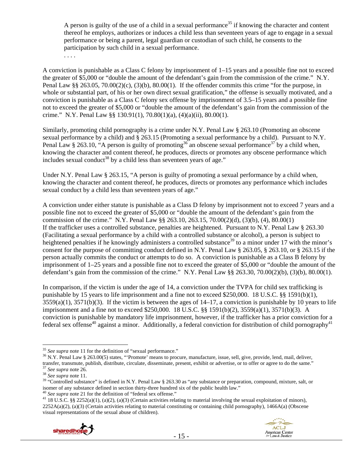A person is guilty of the use of a child in a sexual performance<sup>35</sup> if knowing the character and content thereof he employs, authorizes or induces a child less than seventeen years of age to engage in a sexual performance or being a parent, legal guardian or custodian of such child, he consents to the participation by such child in a sexual performance.

. . . .

A conviction is punishable as a Class C felony by imprisonment of 1–15 years and a possible fine not to exceed the greater of \$5,000 or "double the amount of the defendant's gain from the commission of the crime." N.Y. Penal Law §§ 263.05, 70.00(2)(c), (3)(b), 80.00(1). If the offender commits this crime "for the purpose, in whole or substantial part, of his or her own direct sexual gratification," the offense is sexually motivated, and a conviction is punishable as a Class C felony sex offense by imprisonment of 3.5–15 years and a possible fine not to exceed the greater of \$5,000 or "double the amount of the defendant's gain from the commission of the crime." N.Y. Penal Law  $\S$  130.91(1), 70.80(1)(a), (4)(a)(ii), 80.00(1).

Similarly, promoting child pornography is a crime under N.Y. Penal Law § 263.10 (Promoting an obscene sexual performance by a child) and § 263.15 (Promoting a sexual performance by a child). Pursuant to N.Y. Penal Law § 263.10, "A person is guilty of promoting<sup>36</sup> an obscene sexual performance<sup>37</sup> by a child when, knowing the character and content thereof, he produces, directs or promotes any obscene performance which includes sexual conduct<sup>38</sup> by a child less than seventeen years of age."

Under N.Y. Penal Law § 263.15, "A person is guilty of promoting a sexual performance by a child when, knowing the character and content thereof, he produces, directs or promotes any performance which includes sexual conduct by a child less than seventeen years of age."

A conviction under either statute is punishable as a Class D felony by imprisonment not to exceed 7 years and a possible fine not to exceed the greater of \$5,000 or "double the amount of the defendant's gain from the commission of the crime." N.Y. Penal Law §§ 263.10, 263.15, 70.00(2)(d), (3)(b), (4), 80.00(1) If the trafficker uses a controlled substance, penalties are heightened. Pursuant to N.Y. Penal Law § 263.30 (Facilitating a sexual performance by a child with a controlled substance or alcohol), a person is subject to heightened penalties if he knowingly administers a controlled substance<sup>39</sup> to a minor under 17 with the minor's consent for the purpose of committing conduct defined in N.Y. Penal Law § 263.05, § 263.10, or § 263.15 if the person actually commits the conduct or attempts to do so. A conviction is punishable as a Class B felony by imprisonment of 1–25 years and a possible fine not to exceed the greater of \$5,000 or "double the amount of the defendant's gain from the commission of the crime." N.Y. Penal Law  $\S$  263.30, 70.00(2)(b), (3)(b), 80.00(1).

In comparison, if the victim is under the age of 14, a conviction under the TVPA for child sex trafficking is punishable by 15 years to life imprisonment and a fine not to exceed \$250,000. 18 U.S.C. §§ 1591(b)(1),  $3559(a)(1)$ ,  $3571(b)(3)$ . If the victim is between the ages of  $14-17$ , a conviction is punishable by 10 years to life imprisonment and a fine not to exceed \$250,000. 18 U.S.C. §§ 1591(b)(2), 3559(a)(1), 3571(b)(3). A conviction is punishable by mandatory life imprisonment, however, if the trafficker has a prior conviction for a federal sex offense<sup>40</sup> against a minor. Additionally, a federal conviction for distribution of child pornography<sup>41</sup>

 $\overline{a}$ 

 $2252A(a)(2)$ , (a)(3) (Certain activities relating to material constituting or containing child pornography), 1466A(a) (Obscene visual representations of the sexual abuse of children).





<sup>&</sup>lt;sup>35</sup> *See supra* note 11 for the definition of "sexual performance." <br><sup>36</sup> N.Y. Penal Law § 263.00(5) states, "'Promote' means to procure, manufacture, issue, sell, give, provide, lend, mail, deliver, transfer, transmute, publish, distribute, circulate, disseminate, present, exhibit or advertise, or to offer or agree to do the same."<br>
<sup>37</sup> See supra note 26.<br>
<sup>38</sup> See supra note 11.<br>
<sup>39</sup> "Controlled substance" is defi

isomer of any substance defined in section thirty-three hundred six of the public health law."<br><sup>40</sup> See supra note 21 for the definition of "federal sex offense."<br><sup>41</sup> 18 U.S.C. §§ 2252(a)(1), (a)(2), (a)(3) (Certain acti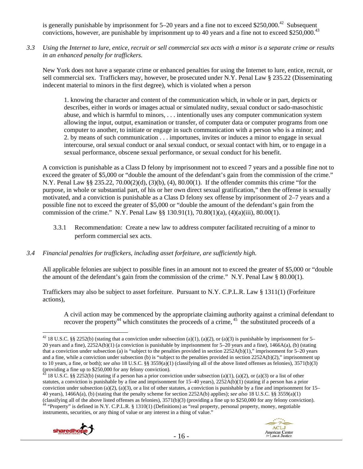is generally punishable by imprisonment for  $5-20$  years and a fine not to exceed \$250,000.<sup>42</sup> Subsequent convictions, however, are punishable by imprisonment up to 40 years and a fine not to exceed \$250,000.<sup>43</sup>

*3.3 Using the Internet to lure, entice, recruit or sell commercial sex acts with a minor is a separate crime or results in an enhanced penalty for traffickers.* 

New York does not have a separate crime or enhanced penalties for using the Internet to lure, entice, recruit, or sell commercial sex. Traffickers may, however, be prosecuted under N.Y. Penal Law § 235.22 (Disseminating indecent material to minors in the first degree), which is violated when a person

1. knowing the character and content of the communication which, in whole or in part, depicts or describes, either in words or images actual or simulated nudity, sexual conduct or sado-masochistic abuse, and which is harmful to minors, . . . intentionally uses any computer communication system allowing the input, output, examination or transfer, of computer data or computer programs from one computer to another, to initiate or engage in such communication with a person who is a minor; and 2. by means of such communication . . . importunes, invites or induces a minor to engage in sexual intercourse, oral sexual conduct or anal sexual conduct, or sexual contact with him, or to engage in a sexual performance, obscene sexual performance, or sexual conduct for his benefit.

A conviction is punishable as a Class D felony by imprisonment not to exceed 7 years and a possible fine not to exceed the greater of \$5,000 or "double the amount of the defendant's gain from the commission of the crime." N.Y. Penal Law §§ 235.22, 70.00(2)(d), (3)(b), (4), 80.00(1). If the offender commits this crime "for the purpose, in whole or substantial part, of his or her own direct sexual gratification," then the offense is sexually motivated, and a conviction is punishable as a Class D felony sex offense by imprisonment of 2–7 years and a possible fine not to exceed the greater of \$5,000 or "double the amount of the defendant's gain from the commission of the crime." N.Y. Penal Law §§ 130.91(1), 70.80(1)(a), (4)(a)(iii), 80.00(1).

3.3.1 Recommendation: Create a new law to address computer facilitated recruiting of a minor to perform commercial sex acts.

#### *3.4 Financial penalties for traffickers, including asset forfeiture, are sufficiently high.*

All applicable felonies are subject to possible fines in an amount not to exceed the greater of \$5,000 or "double the amount of the defendant's gain from the commission of the crime." N.Y. Penal Law § 80.00(1).

Traffickers may also be subject to asset forfeiture. Pursuant to N.Y. C.P.L.R. Law § 1311(1) (Forfeiture actions),

A civil action may be commenced by the appropriate claiming authority against a criminal defendant to recover the property<sup>44</sup> which constitutes the proceeds of a crime,  $45$  the substituted proceeds of a

instruments, securities, or any thing of value or any interest in a thing of value."



 $\overline{a}$ 



<sup>&</sup>lt;sup>42</sup> 18 U.S.C. §§ 2252(b) (stating that a conviction under subsection (a)(1), (a)(2), or (a)(3) is punishable by imprisonment for 5– 20 years and a fine), 2252A(b)(1) (a conviction is punishable by imprisonment for 5–20 years and a fine), 1466A(a), (b) (stating that a conviction under subsection (a) is "subject to the penalties provided in section 2252A(b)(1)," imprisonment for 5–20 years and a fine, while a conviction under subsection (b) is "subject to the penalties provided in section 2252A(b)(2)," imprisonment up to 10 years, a fine, or both); *see also* 18 U.S.C. §§ 3559(a)(1) (classifying all of the above listed offenses as felonies), 3571(b)(3) (providing a fine up to \$250,000 for any felony conviction).

<sup>18</sup> U.S.C. §§ 2252(b) (stating if a person has a prior conviction under subsection (a)(1), (a)(2), or (a)(3) or a list of other statutes, a conviction is punishable by a fine and imprisonment for 15–40 years), 2252A(b)(1) (stating if a person has a prior conviction under subsection (a)(2), (a)(3), or a list of other statutes, a conviction is punishable by a fine and imprisonment for  $15-$ 40 years), 1466A(a), (b) (stating that the penalty scheme for section 2252A(b) applies); *see also* 18 U.S.C. §§ 3559(a)(1) (classifying all of the above listed offenses as felonies),  $3571(b)(3)$  (providing a fine up to \$250,000 for any felony conviction).<br><sup>44</sup> "Property" is defined in N.Y. C.P.L.R. § 1310(1) (Definitions) as "real property, pe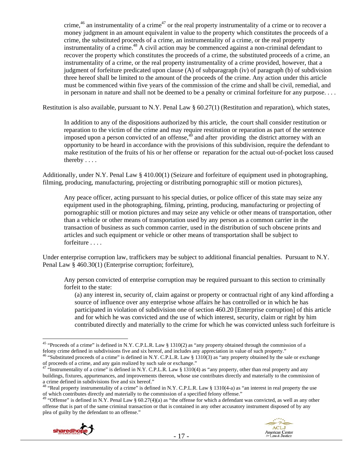crime,<sup>46</sup> an instrumentality of a crime<sup>47</sup> or the real property instrumentality of a crime or to recover a money judgment in an amount equivalent in value to the property which constitutes the proceeds of a crime, the substituted proceeds of a crime, an instrumentality of a crime, or the real property instrumentality of a crime.<sup>48</sup> A civil action may be commenced against a non-criminal defendant to recover the property which constitutes the proceeds of a crime, the substituted proceeds of a crime, an instrumentality of a crime, or the real property instrumentality of a crime provided, however, that a judgment of forfeiture predicated upon clause (A) of subparagraph (iv) of paragraph (b) of subdivision three hereof shall be limited to the amount of the proceeds of the crime. Any action under this article must be commenced within five years of the commission of the crime and shall be civil, remedial, and in personam in nature and shall not be deemed to be a penalty or criminal forfeiture for any purpose. . . .

Restitution is also available, pursuant to N.Y. Penal Law § 60.27(1) (Restitution and reparation), which states,

In addition to any of the dispositions authorized by this article, the court shall consider restitution or reparation to the victim of the crime and may require restitution or reparation as part of the sentence imposed upon a person convicted of an offense,<sup> $4\overline{9}$ </sup> and after providing the district attorney with an opportunity to be heard in accordance with the provisions of this subdivision, require the defendant to make restitution of the fruits of his or her offense or reparation for the actual out-of-pocket loss caused thereby . . . .

Additionally, under N.Y. Penal Law § 410.00(1) (Seizure and forfeiture of equipment used in photographing, filming, producing, manufacturing, projecting or distributing pornographic still or motion pictures),

Any peace officer, acting pursuant to his special duties, or police officer of this state may seize any equipment used in the photographing, filming, printing, producing, manufacturing or projecting of pornographic still or motion pictures and may seize any vehicle or other means of transportation, other than a vehicle or other means of transportation used by any person as a common carrier in the transaction of business as such common carrier, used in the distribution of such obscene prints and articles and such equipment or vehicle or other means of transportation shall be subject to forfeiture . . . .

Under enterprise corruption law, traffickers may be subject to additional financial penalties. Pursuant to N.Y. Penal Law § 460.30(1) (Enterprise corruption; forfeiture),

Any person convicted of enterprise corruption may be required pursuant to this section to criminally forfeit to the state:

(a) any interest in, security of, claim against or property or contractual right of any kind affording a source of influence over any enterprise whose affairs he has controlled or in which he has participated in violation of subdivision one of section 460.20 [Enterprise corruption] of this article and for which he was convicted and the use of which interest, security, claim or right by him contributed directly and materially to the crime for which he was convicted unless such forfeiture is

offense that is part of the same criminal transaction or that is contained in any other accusatory instrument disposed of by any plea of guilty by the defendant to an offense."





 $\overline{a}$  $45$  "Proceeds of a crime" is defined in N.Y. C.P.L.R. Law § 1310(2) as "any property obtained through the commission of a felony crime defined in subdivisions five and six hereof, and includes any appreciation in value of such property."<br><sup>46</sup> "Substituted proceeds of a crime" is defined in N.Y. C.P.L.R. Law § 1310(3) as "any property obtained

of proceeds of a crime, and any gain realized by such sale or exchange."

<sup>&</sup>lt;sup>47</sup> "Instrumentality of a crime" is defined in N.Y. C.P.L.R. Law § 1310(4) as "any property, other than real property and any buildings, fixtures, appurtenances, and improvements thereon, whose use contributes directly and materially to the commission of a crime defined in subdivisions five and six hereof."<br><sup>48</sup> "Real property instrumentality of a crime" is defined in N.Y. C.P.L.R. Law § 1310(4-a) as "an interest in real property the use

of which contributes directly and materially to the commission of a specified felony offense."<br><sup>49</sup> "Offense" is defined in N.Y. Penal Law § 60.27(4)(a) as "the offense for which a defendant was convicted, as well as any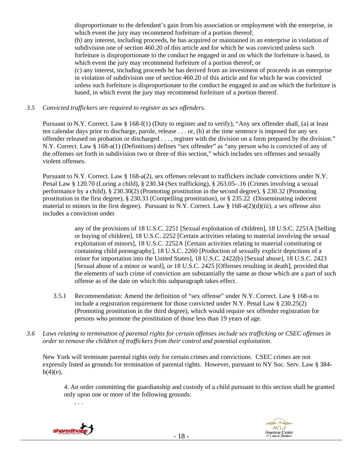disproportionate to the defendant's gain from his association or employment with the enterprise, in which event the jury may recommend forfeiture of a portion thereof; (b) any interest, including proceeds, he has acquired or maintained in an enterprise in violation of subdivision one of section 460.20 of this article and for which he was convicted unless such forfeiture is disproportionate to the conduct he engaged in and on which the forfeiture is based, in which event the jury may recommend forfeiture of a portion thereof; or (c) any interest, including proceeds he has derived from an investment of proceeds in an enterprise in violation of subdivision one of section 460.20 of this article and for which he was convicted unless such forfeiture is disproportionate to the conduct he engaged in and on which the forfeiture is based, in which event the jury may recommend forfeiture of a portion thereof.

#### *3.5 Convicted traffickers are required to register as sex offenders.*

Pursuant to N.Y. Correct. Law § 168-f(1) (Duty to register and to verify), "Any sex offender shall, (a) at least ten calendar days prior to discharge, parole, release . . . or, (b) at the time sentence is imposed for any sex offender released on probation or discharged . . . , register with the division on a form prepared by the division." N.Y. Correct. Law § 168-a(1) (Definitions) defines "sex offender" as "any person who is convicted of any of the offenses set forth in subdivision two or three of this section," which includes sex offenses and sexually violent offenses.

Pursuant to N.Y. Correct. Law § 168-a(2), sex offenses relevant to traffickers include convictions under N.Y. Penal Law § 120.70 (Luring a child), § 230.34 (Sex trafficking), § 263.05–.16 (Crimes involving a sexual performance by a child), § 230.30(2) (Promoting prostitution in the second degree), § 230.32 (Promoting prostitution in the first degree), § 230.33 (Compelling prostitution), or § 235.22 (Disseminating indecent material to minors in the first degree). Pursuant to N.Y. Correct. Law  $\S$  168-a(2)(d)(iii), a sex offense also includes a conviction under

> any of the provisions of 18 U.S.C. 2251 [Sexual exploitation of children], 18 U.S.C. 2251A [Selling or buying of children], 18 U.S.C. 2252 [Certain activities relating to material involving the sexual exploitation of minors], 18 U.S.C. 2252A [Certain activities relating to material constituting or containing child pornography], 18 U.S.C. 2260 [Production of sexually explicit depictions of a minor for importation into the United States], 18 U.S.C. 2422(b) [Sexual abuse], 18 U.S.C. 2423 [Sexual abuse of a minor or ward], or 18 U.S.C. 2425 [Offenses resulting in death], provided that the elements of such crime of conviction are substantially the same as those which are a part of such offense as of the date on which this subparagraph takes effect.

- 3.5.1 Recommendation: Amend the definition of "sex offense" under N.Y. Correct. Law § 168-a to include a registration requirement for those convicted under N.Y. Penal Law  $\S 230.25(2)$ (Promoting prostitution in the third degree), which would require sex offender registration for persons who promote the prostitution of those less than 19 years of age.
- *3.6 Laws relating to termination of parental rights for certain offenses include sex trafficking or CSEC offenses in order to remove the children of traffickers from their control and potential exploitation.*

New York will terminate parental rights only for certain crimes and convictions. CSEC crimes are not expressly listed as grounds for termination of parental rights. However, pursuant to NY Soc. Serv. Law § 384  $b(4)(e)$ ,

4. An order committing the guardianship and custody of a child pursuant to this section shall be granted only upon one or more of the following grounds:

. . .



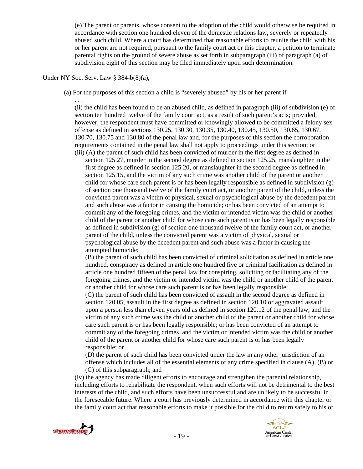(e) The parent or parents, whose consent to the adoption of the child would otherwise be required in accordance with section one hundred eleven of the domestic relations law, severely or repeatedly abused such child. Where a court has determined that reasonable efforts to reunite the child with his or her parent are not required, pursuant to the family court act or this chapter, a petition to terminate parental rights on the ground of severe abuse as set forth in subparagraph (iii) of paragraph (a) of subdivision eight of this section may be filed immediately upon such determination.

#### Under NY Soc. Serv. Law § 384-b(8)(a),

. . .

(a) For the purposes of this section a child is "severely abused" by his or her parent if

(ii) the child has been found to be an abused child, as defined in paragraph (iii) of subdivision (e) of section ten hundred twelve of the family court act, as a result of such parent's acts; provided, however, the respondent must have committed or knowingly allowed to be committed a felony sex offense as defined in sections 130.25, 130.30, 130.35, 130.40, 130.45, 130.50, 130.65, 130.67, 130.70, 130.75 and 130.80 of the penal law and, for the purposes of this section the corroboration requirements contained in the penal law shall not apply to proceedings under this section; or (iii) (A) the parent of such child has been convicted of murder in the first degree as defined in

section 125.27, murder in the second degree as defined in section 125.25, manslaughter in the first degree as defined in section 125.20, or manslaughter in the second degree as defined in section 125.15, and the victim of any such crime was another child of the parent or another child for whose care such parent is or has been legally responsible as defined in subdivision (g) of section one thousand twelve of the family court act, or another parent of the child, unless the convicted parent was a victim of physical, sexual or psychological abuse by the decedent parent and such abuse was a factor in causing the homicide; or has been convicted of an attempt to commit any of the foregoing crimes, and the victim or intended victim was the child or another child of the parent or another child for whose care such parent is or has been legally responsible as defined in subdivision (g) of section one thousand twelve of the family court act, or another parent of the child, unless the convicted parent was a victim of physical, sexual or psychological abuse by the decedent parent and such abuse was a factor in causing the attempted homicide;

(B) the parent of such child has been convicted of criminal solicitation as defined in article one hundred, conspiracy as defined in article one hundred five or criminal facilitation as defined in article one hundred fifteen of the penal law for conspiring, soliciting or facilitating any of the foregoing crimes, and the victim or intended victim was the child or another child of the parent or another child for whose care such parent is or has been legally responsible;

(C) the parent of such child has been convicted of assault in the second degree as defined in section 120.05, assault in the first degree as defined in section 120.10 or aggravated assault upon a person less than eleven years old as defined in section 120.12 of the penal law, and the victim of any such crime was the child or another child of the parent or another child for whose care such parent is or has been legally responsible; or has been convicted of an attempt to commit any of the foregoing crimes, and the victim or intended victim was the child or another child of the parent or another child for whose care such parent is or has been legally responsible; or

(D) the parent of such child has been convicted under the law in any other jurisdiction of an offense which includes all of the essential elements of any crime specified in clause (A), (B) or (C) of this subparagraph; and

(iv) the agency has made diligent efforts to encourage and strengthen the parental relationship, including efforts to rehabilitate the respondent, when such efforts will not be detrimental to the best interests of the child, and such efforts have been unsuccessful and are unlikely to be successful in the foreseeable future. Where a court has previously determined in accordance with this chapter or the family court act that reasonable efforts to make it possible for the child to return safely to his or



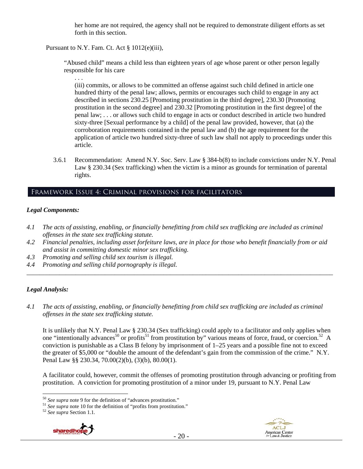her home are not required, the agency shall not be required to demonstrate diligent efforts as set forth in this section.

Pursuant to N.Y. Fam. Ct. Act § 1012(e)(iii),

"Abused child" means a child less than eighteen years of age whose parent or other person legally responsible for his care

. . .

(iii) commits, or allows to be committed an offense against such child defined in article one hundred thirty of the penal law; allows, permits or encourages such child to engage in any act described in sections 230.25 [Promoting prostitution in the third degree], 230.30 [Promoting prostitution in the second degree] and 230.32 [Promoting prostitution in the first degree] of the penal law; . . . or allows such child to engage in acts or conduct described in article two hundred sixty-three [Sexual performance by a child] of the penal law provided, however, that (a) the corroboration requirements contained in the penal law and (b) the age requirement for the application of article two hundred sixty-three of such law shall not apply to proceedings under this article.

3.6.1 Recommendation: Amend N.Y. Soc. Serv. Law § 384-b(8) to include convictions under N.Y. Penal Law § 230.34 (Sex trafficking) when the victim is a minor as grounds for termination of parental rights.

# Framework Issue 4: Criminal provisions for facilitators

# *Legal Components:*

- *4.1 The acts of assisting, enabling, or financially benefitting from child sex trafficking are included as criminal offenses in the state sex trafficking statute.*
- *4.2 Financial penalties, including asset forfeiture laws, are in place for those who benefit financially from or aid and assist in committing domestic minor sex trafficking.*
- *4.3 Promoting and selling child sex tourism is illegal.*
- *4.4 Promoting and selling child pornography is illegal. \_\_\_\_\_\_\_\_\_\_\_\_\_\_\_\_\_\_\_\_\_\_\_\_\_\_\_\_\_\_\_\_\_\_\_\_\_\_\_\_\_\_\_\_\_\_\_\_\_\_\_\_\_\_\_\_\_\_\_\_\_\_\_\_\_\_\_\_\_\_\_\_\_\_\_\_\_\_\_\_\_\_\_\_\_\_\_\_\_\_\_\_\_\_*

# *Legal Analysis:*

*4.1 The acts of assisting, enabling, or financially benefitting from child sex trafficking are included as criminal offenses in the state sex trafficking statute.* 

It is unlikely that N.Y. Penal Law § 230.34 (Sex trafficking) could apply to a facilitator and only applies when one "intentionally advances<sup>50</sup> or profits<sup>51</sup> from prostitution by" various means of force, fraud, or coercion.<sup>52</sup> A conviction is punishable as a Class B felony by imprisonment of  $1-25$  years and a possible fine not to exceed the greater of \$5,000 or "double the amount of the defendant's gain from the commission of the crime." N.Y. Penal Law §§ 230.34, 70.00(2)(b), (3)(b), 80.00(1).

A facilitator could, however, commit the offenses of promoting prostitution through advancing or profiting from prostitution. A conviction for promoting prostitution of a minor under 19, pursuant to N.Y. Penal Law





 $50$  See supra note 9 for the definition of "advances prostitution."

<sup>51</sup> *See supra* note 9 for the definition of "profits from prostitution."<br><sup>51</sup> *See supra* Section 1.1.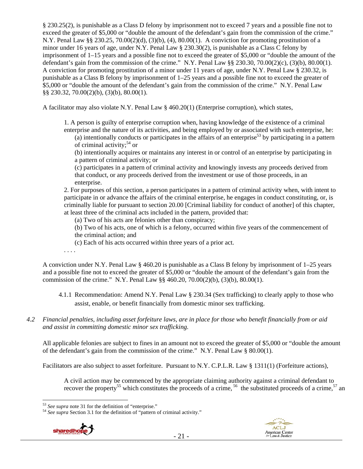§ 230.25(2), is punishable as a Class D felony by imprisonment not to exceed 7 years and a possible fine not to exceed the greater of \$5,000 or "double the amount of the defendant's gain from the commission of the crime." N.Y. Penal Law §§ 230.25, 70.00(2)(d), (3)(b), (4), 80.00(1). A conviction for promoting prostitution of a minor under 16 years of age, under N.Y. Penal Law § 230.30(2), is punishable as a Class C felony by imprisonment of 1–15 years and a possible fine not to exceed the greater of \$5,000 or "double the amount of the defendant's gain from the commission of the crime." N.Y. Penal Law §§ 230.30, 70.00(2)(c), (3)(b), 80.00(1). A conviction for promoting prostitution of a minor under 11 years of age, under N.Y. Penal Law § 230.32, is punishable as a Class B felony by imprisonment of 1–25 years and a possible fine not to exceed the greater of \$5,000 or "double the amount of the defendant's gain from the commission of the crime." N.Y. Penal Law §§ 230.32, 70.00(2)(b), (3)(b), 80.00(1).

A facilitator may also violate N.Y. Penal Law § 460.20(1) (Enterprise corruption), which states,

1. A person is guilty of enterprise corruption when, having knowledge of the existence of a criminal enterprise and the nature of its activities, and being employed by or associated with such enterprise, he:

(a) intentionally conducts or participates in the affairs of an enterprise<sup>53</sup> by participating in a pattern of criminal activity;<sup>54</sup> or

(b) intentionally acquires or maintains any interest in or control of an enterprise by participating in a pattern of criminal activity; or

(c) participates in a pattern of criminal activity and knowingly invests any proceeds derived from that conduct, or any proceeds derived from the investment or use of those proceeds, in an enterprise.

2. For purposes of this section, a person participates in a pattern of criminal activity when, with intent to participate in or advance the affairs of the criminal enterprise, he engages in conduct constituting, or, is criminally liable for pursuant to section 20.00 [Criminal liability for conduct of another] of this chapter, at least three of the criminal acts included in the pattern, provided that:

(a) Two of his acts are felonies other than conspiracy;

(b) Two of his acts, one of which is a felony, occurred within five years of the commencement of the criminal action; and

(c) Each of his acts occurred within three years of a prior act.

. . . .

A conviction under N.Y. Penal Law § 460.20 is punishable as a Class B felony by imprisonment of 1–25 years and a possible fine not to exceed the greater of \$5,000 or "double the amount of the defendant's gain from the commission of the crime." N.Y. Penal Law §§ 460.20, 70.00(2)(b), (3)(b), 80.00(1).

- 4.1.1 Recommendation: Amend N.Y. Penal Law § 230.34 (Sex trafficking) to clearly apply to those who assist, enable, or benefit financially from domestic minor sex trafficking.
- *4.2 Financial penalties, including asset forfeiture laws, are in place for those who benefit financially from or aid and assist in committing domestic minor sex trafficking.*

All applicable felonies are subject to fines in an amount not to exceed the greater of \$5,000 or "double the amount of the defendant's gain from the commission of the crime." N.Y. Penal Law § 80.00(1).

Facilitators are also subject to asset forfeiture. Pursuant to N.Y. C.P.L.R. Law § 1311(1) (Forfeiture actions),

A civil action may be commenced by the appropriate claiming authority against a criminal defendant to recover the property<sup>55</sup> which constitutes the proceeds of a crime,  $56$  the substituted proceeds of a crime,  $57$  an

<sup>&</sup>lt;sup>53</sup> See supra note 31 for the definition of "enterprise."<br><sup>54</sup> See supra Section 3.1 for the definition of "pattern of criminal activity."



 $\overline{a}$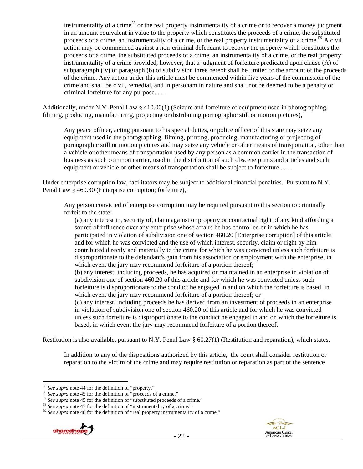instrumentality of a crime<sup>58</sup> or the real property instrumentality of a crime or to recover a money judgment in an amount equivalent in value to the property which constitutes the proceeds of a crime, the substituted proceeds of a crime, an instrumentality of a crime, or the real property instrumentality of a crime.<sup>59</sup> A civil action may be commenced against a non-criminal defendant to recover the property which constitutes the proceeds of a crime, the substituted proceeds of a crime, an instrumentality of a crime, or the real property instrumentality of a crime provided, however, that a judgment of forfeiture predicated upon clause (A) of subparagraph (iv) of paragraph (b) of subdivision three hereof shall be limited to the amount of the proceeds of the crime. Any action under this article must be commenced within five years of the commission of the crime and shall be civil, remedial, and in personam in nature and shall not be deemed to be a penalty or criminal forfeiture for any purpose. . . .

Additionally, under N.Y. Penal Law § 410.00(1) (Seizure and forfeiture of equipment used in photographing, filming, producing, manufacturing, projecting or distributing pornographic still or motion pictures),

Any peace officer, acting pursuant to his special duties, or police officer of this state may seize any equipment used in the photographing, filming, printing, producing, manufacturing or projecting of pornographic still or motion pictures and may seize any vehicle or other means of transportation, other than a vehicle or other means of transportation used by any person as a common carrier in the transaction of business as such common carrier, used in the distribution of such obscene prints and articles and such equipment or vehicle or other means of transportation shall be subject to forfeiture . . . .

Under enterprise corruption law, facilitators may be subject to additional financial penalties. Pursuant to N.Y. Penal Law § 460.30 (Enterprise corruption; forfeiture),

Any person convicted of enterprise corruption may be required pursuant to this section to criminally forfeit to the state:

(a) any interest in, security of, claim against or property or contractual right of any kind affording a source of influence over any enterprise whose affairs he has controlled or in which he has participated in violation of subdivision one of section 460.20 [Enterprise corruption] of this article and for which he was convicted and the use of which interest, security, claim or right by him contributed directly and materially to the crime for which he was convicted unless such forfeiture is disproportionate to the defendant's gain from his association or employment with the enterprise, in which event the jury may recommend forfeiture of a portion thereof;

(b) any interest, including proceeds, he has acquired or maintained in an enterprise in violation of subdivision one of section 460.20 of this article and for which he was convicted unless such forfeiture is disproportionate to the conduct he engaged in and on which the forfeiture is based, in which event the jury may recommend forfeiture of a portion thereof; or

(c) any interest, including proceeds he has derived from an investment of proceeds in an enterprise in violation of subdivision one of section 460.20 of this article and for which he was convicted unless such forfeiture is disproportionate to the conduct he engaged in and on which the forfeiture is based, in which event the jury may recommend forfeiture of a portion thereof.

Restitution is also available, pursuant to N.Y. Penal Law § 60.27(1) (Restitution and reparation), which states,

In addition to any of the dispositions authorized by this article, the court shall consider restitution or reparation to the victim of the crime and may require restitution or reparation as part of the sentence

<sup>&</sup>lt;sup>56</sup> See supra note 44 for the definition of "proceeds of a crime."<br><sup>57</sup> See supra note 45 for the definition of "substituted proceeds of a crime."<br><sup>57</sup> See supra note 47 for the definition of "instrumentality of a crime."





<sup>&</sup>lt;sup>55</sup> See supra note 44 for the definition of "property."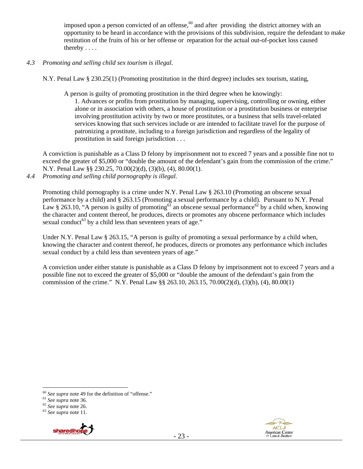imposed upon a person convicted of an offense,<sup>60</sup> and after providing the district attorney with an opportunity to be heard in accordance with the provisions of this subdivision, require the defendant to make restitution of the fruits of his or her offense or reparation for the actual out-of-pocket loss caused thereby . . . .

## *4.3 Promoting and selling child sex tourism is illegal.*

N.Y. Penal Law § 230.25(1) (Promoting prostitution in the third degree) includes sex tourism, stating,

A person is guilty of promoting prostitution in the third degree when he knowingly:

1. Advances or profits from prostitution by managing, supervising, controlling or owning, either alone or in association with others, a house of prostitution or a prostitution business or enterprise involving prostitution activity by two or more prostitutes, or a business that sells travel-related services knowing that such services include or are intended to facilitate travel for the purpose of patronizing a prostitute, including to a foreign jurisdiction and regardless of the legality of prostitution in said foreign jurisdiction . . .

A conviction is punishable as a Class D felony by imprisonment not to exceed 7 years and a possible fine not to exceed the greater of \$5,000 or "double the amount of the defendant's gain from the commission of the crime." N.Y. Penal Law §§ 230.25, 70.00(2)(d), (3)(b), (4), 80.00(1).

*4.4 Promoting and selling child pornography is illegal.* 

Promoting child pornography is a crime under N.Y. Penal Law § 263.10 (Promoting an obscene sexual performance by a child) and § 263.15 (Promoting a sexual performance by a child). Pursuant to N.Y. Penal Law § 263.10, "A person is guilty of promoting  $\overrightarrow{p}$  an obscene sexual performance  $\overrightarrow{p}$  by a child when, knowing the character and content thereof, he produces, directs or promotes any obscene performance which includes sexual conduct<sup>63</sup> by a child less than seventeen years of age."

Under N.Y. Penal Law § 263.15, "A person is guilty of promoting a sexual performance by a child when, knowing the character and content thereof, he produces, directs or promotes any performance which includes sexual conduct by a child less than seventeen years of age."

A conviction under either statute is punishable as a Class D felony by imprisonment not to exceed 7 years and a possible fine not to exceed the greater of \$5,000 or "double the amount of the defendant's gain from the commission of the crime." N.Y. Penal Law §§ 263.10, 263.15, 70.00(2)(d), (3)(b), (4), 80.00(1)





 $\overline{a}$ <sup>60</sup> *See supra* note 49 for the definition of "offense." 61 *See supra* note 36. 62 *See supra* note 26. 63 *See supra* note 11.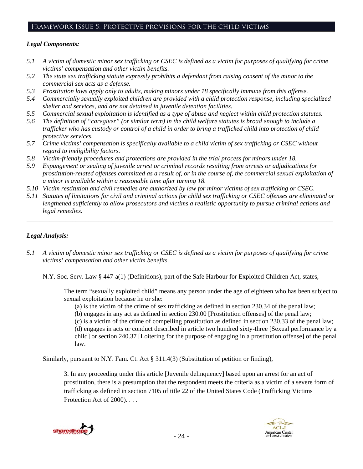# FRAMEWORK ISSUE 5: PROTECTIVE PROVISIONS FOR THE CHILD VICTIMS

# *Legal Components:*

- *5.1 A victim of domestic minor sex trafficking or CSEC is defined as a victim for purposes of qualifying for crime victims' compensation and other victim benefits.*
- *5.2 The state sex trafficking statute expressly prohibits a defendant from raising consent of the minor to the commercial sex acts as a defense.*
- *5.3 Prostitution laws apply only to adults, making minors under 18 specifically immune from this offense.*
- *5.4 Commercially sexually exploited children are provided with a child protection response, including specialized shelter and services, and are not detained in juvenile detention facilities.*
- *5.5 Commercial sexual exploitation is identified as a type of abuse and neglect within child protection statutes.*
- *5.6 The definition of "caregiver" (or similar term) in the child welfare statutes is broad enough to include a trafficker who has custody or control of a child in order to bring a trafficked child into protection of child protective services.*
- *5.7 Crime victims' compensation is specifically available to a child victim of sex trafficking or CSEC without regard to ineligibility factors.*
- *5.8 Victim-friendly procedures and protections are provided in the trial process for minors under 18.*
- *5.9 Expungement or sealing of juvenile arrest or criminal records resulting from arrests or adjudications for prostitution-related offenses committed as a result of, or in the course of, the commercial sexual exploitation of a minor is available within a reasonable time after turning 18.*
- *5.10 Victim restitution and civil remedies are authorized by law for minor victims of sex trafficking or CSEC.*
- *5.11 Statutes of limitations for civil and criminal actions for child sex trafficking or CSEC offenses are eliminated or lengthened sufficiently to allow prosecutors and victims a realistic opportunity to pursue criminal actions and legal remedies.*

*\_\_\_\_\_\_\_\_\_\_\_\_\_\_\_\_\_\_\_\_\_\_\_\_\_\_\_\_\_\_\_\_\_\_\_\_\_\_\_\_\_\_\_\_\_\_\_\_\_\_\_\_\_\_\_\_\_\_\_\_\_\_\_\_\_\_\_\_\_\_\_\_\_\_\_\_\_\_\_\_\_\_\_\_\_\_\_\_\_\_\_\_\_\_* 

#### *Legal Analysis:*

- *5.1 A victim of domestic minor sex trafficking or CSEC is defined as a victim for purposes of qualifying for crime victims' compensation and other victim benefits.* 
	- N.Y. Soc. Serv. Law § 447-a(1) (Definitions), part of the Safe Harbour for Exploited Children Act, states,

The term "sexually exploited child" means any person under the age of eighteen who has been subject to sexual exploitation because he or she:

(a) is the victim of the crime of sex trafficking as defined in section 230.34 of the penal law;

(b) engages in any act as defined in section 230.00 [Prostitution offenses] of the penal law;

(c) is a victim of the crime of compelling prostitution as defined in section 230.33 of the penal law; (d) engages in acts or conduct described in article two hundred sixty-three [Sexual performance by a child] or section 240.37 [Loitering for the purpose of engaging in a prostitution offense] of the penal law.

Similarly, pursuant to N.Y. Fam. Ct. Act § 311.4(3) (Substitution of petition or finding),

3. In any proceeding under this article [Juvenile delinquency] based upon an arrest for an act of prostitution, there is a presumption that the respondent meets the criteria as a victim of a severe form of trafficking as defined in section 7105 of title 22 of the United States Code (Trafficking Victims Protection Act of 2000). . . .



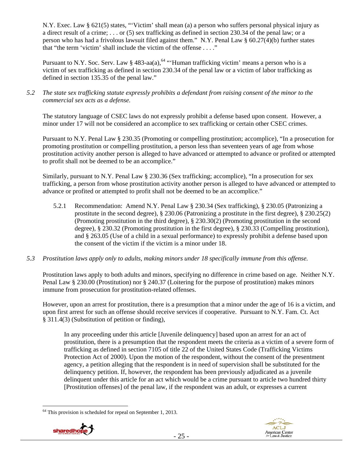N.Y. Exec. Law § 621(5) states, "'Victim' shall mean (a) a person who suffers personal physical injury as a direct result of a crime; . . . or (5) sex trafficking as defined in section 230.34 of the penal law; or a person who has had a frivolous lawsuit filed against them." N.Y. Penal Law § 60.27(4)(b) further states that "the term 'victim' shall include the victim of the offense . . . ."

Pursuant to N.Y. Soc. Serv. Law § 483-aa(a),<sup>64</sup> "Human trafficking victim' means a person who is a victim of sex trafficking as defined in section 230.34 of the penal law or a victim of labor trafficking as defined in section 135.35 of the penal law."

*5.2 The state sex trafficking statute expressly prohibits a defendant from raising consent of the minor to the commercial sex acts as a defense.* 

The statutory language of CSEC laws do not expressly prohibit a defense based upon consent. However, a minor under 17 will not be considered an accomplice to sex trafficking or certain other CSEC crimes.

Pursuant to N.Y. Penal Law § 230.35 (Promoting or compelling prostitution; accomplice), "In a prosecution for promoting prostitution or compelling prostitution, a person less than seventeen years of age from whose prostitution activity another person is alleged to have advanced or attempted to advance or profited or attempted to profit shall not be deemed to be an accomplice."

Similarly, pursuant to N.Y. Penal Law § 230.36 (Sex trafficking; accomplice), "In a prosecution for sex trafficking, a person from whose prostitution activity another person is alleged to have advanced or attempted to advance or profited or attempted to profit shall not be deemed to be an accomplice."

- 5.2.1 Recommendation: Amend N.Y. Penal Law § 230.34 (Sex trafficking), § 230.05 (Patronizing a prostitute in the second degree), § 230.06 (Patronizing a prostitute in the first degree), § 230.25(2) (Promoting prostitution in the third degree), § 230.30(2) (Promoting prostitution in the second degree), § 230.32 (Promoting prostitution in the first degree), § 230.33 (Compelling prostitution), and § 263.05 (Use of a child in a sexual performance) to expressly prohibit a defense based upon the consent of the victim if the victim is a minor under 18.
- *5.3 Prostitution laws apply only to adults, making minors under 18 specifically immune from this offense.*

Prostitution laws apply to both adults and minors, specifying no difference in crime based on age. Neither N.Y. Penal Law § 230.00 (Prostitution) nor § 240.37 (Loitering for the purpose of prostitution) makes minors immune from prosecution for prostitution-related offenses.

However, upon an arrest for prostitution, there is a presumption that a minor under the age of 16 is a victim, and upon first arrest for such an offense should receive services if cooperative. Pursuant to N.Y. Fam. Ct. Act § 311.4(3) (Substitution of petition or finding),

In any proceeding under this article [Juvenile delinquency] based upon an arrest for an act of prostitution, there is a presumption that the respondent meets the criteria as a victim of a severe form of trafficking as defined in section 7105 of title 22 of the United States Code (Trafficking Victims Protection Act of 2000). Upon the motion of the respondent, without the consent of the presentment agency, a petition alleging that the respondent is in need of supervision shall be substituted for the delinquency petition. If, however, the respondent has been previously adjudicated as a juvenile delinquent under this article for an act which would be a crime pursuant to article two hundred thirty [Prostitution offenses] of the penal law, if the respondent was an adult, or expresses a current

 $\overline{a}$ <sup>64</sup> This provision is scheduled for repeal on September 1, 2013.



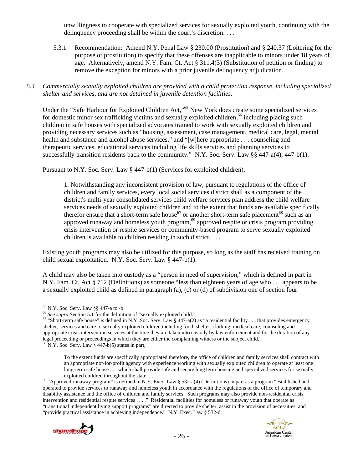unwillingness to cooperate with specialized services for sexually exploited youth, continuing with the delinquency proceeding shall be within the court's discretion. . . .

5.3.1 Recommendation: Amend N.Y. Penal Law § 230.00 (Prostitution) and § 240.37 (Loitering for the purpose of prostitution) to specify that these offenses are inapplicable to minors under 18 years of age. Alternatively, amend N.Y. Fam. Ct. Act § 311.4(3) (Substitution of petition or finding) to remove the exception for minors with a prior juvenile delinquency adjudication.

## *5.4 Commercially sexually exploited children are provided with a child protection response, including specialized shelter and services, and are not detained in juvenile detention facilities.*

Under the "Safe Harbour for Exploited Children Act,"65 New York does create some specialized services for domestic minor sex trafficking victims and sexually exploited children,<sup>66</sup> including placing such children in safe houses with specialized advocates trained to work with sexually exploited children and providing necessary services such as "housing, assessment, case management, medical care, legal, mental health and substance and alcohol abuse services," and "[w]here appropriate . . . counseling and therapeutic services, educational services including life skills services and planning services to successfully transition residents back to the community." N.Y. Soc. Serv. Law §§ 447-a(4), 447-b(1).

Pursuant to N.Y. Soc. Serv. Law § 447-b(1) (Services for exploited children),

1. Notwithstanding any inconsistent provision of law, pursuant to regulations of the office of children and family services, every local social services district shall as a component of the district's multi-year consolidated services child welfare services plan address the child welfare services needs of sexually exploited children and to the extent that funds are available specifically therefor ensure that a short-term safe house<sup>67</sup> or another short-term safe placement<sup>68</sup> such as an approved runaway and homeless youth program, $69$  approved respite or crisis program providing crisis intervention or respite services or community-based program to serve sexually exploited children is available to children residing in such district. . . .

Existing youth programs may also be utilized for this purpose, so long as the staff has received training on child sexual exploitation. N.Y. Soc. Serv. Law § 447-b(1).

A child may also be taken into custody as a "person in need of supervision," which is defined in part in N.Y. Fam. Ct. Act § 712 (Definitions) as someone "less than eighteen years of age who . . . appears to be a sexually exploited child as defined in paragraph (a), (c) or (d) of subdivision one of section four

exploited children throughout the state. . . .<br>
<sup>69</sup> "Approved runaway program" is defined in N.Y. Exec. Law § 532-a(4) (Definitions) in part as a program "established and operated to provide services to runaway and homeless youth in accordance with the regulations of the office of temporary and disability assistance and the office of children and family services. Such programs may also provide non-residential crisis intervention and residential respite services . . . ." Residential facilities for homeless or runaway youth that operate as "transitional independent living support programs" are directed to provide shelter, assist in the provision of necessities, and "provide practical assistance in achieving independence." N.Y. Exec. Law § 532-d.





 $\overline{a}$ 

<sup>&</sup>lt;sup>65</sup> N.Y. Soc. Serv. Law §§ 447-a to -b.<br><sup>66</sup> See supra Section 5.1 for the definition of "sexually exploited child."

<sup>&</sup>lt;sup>67</sup> "Short-term safe house" is defined in N.Y. Soc. Serv. Law § 447-a(2) as "a residential facility . . . that provides emergency shelter, services and care to sexually exploited children including food, shelter, clothing, medical care, counseling and appropriate crisis intervention services at the time they are taken into custody by law enforcement and for the duration of any legal proceeding or proceedings in which they are either the complaining witness or the subject child." 68 N.Y. Soc. Serv. Law § 447-b(5) states in part,

To the extent funds are specifically appropriated therefore, the office of children and family services shall contract with an appropriate not-for-profit agency with experience working with sexually exploited children to operate at least one long-term safe house . . . which shall provide safe and secure long term housing and specialized services for sexually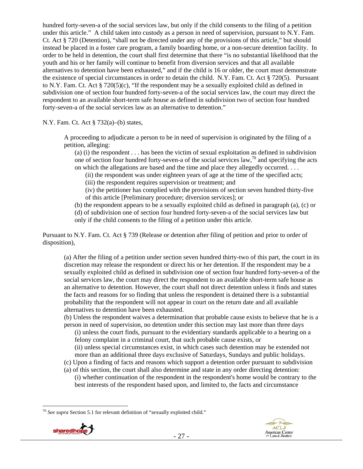hundred forty-seven-a of the social services law, but only if the child consents to the filing of a petition under this article." A child taken into custody as a person in need of supervision, pursuant to N.Y. Fam. Ct. Act § 720 (Detention), "shall not be directed under any of the provisions of this article," but should instead be placed in a foster care program, a family boarding home, or a non-secure detention facility. In order to be held in detention, the court shall first determine that there "is no substantial likelihood that the youth and his or her family will continue to benefit from diversion services and that all available alternatives to detention have been exhausted," and if the child is 16 or older, the court must demonstrate the existence of special circumstances in order to detain the child. N.Y. Fam. Ct. Act § 720(5). Pursuant to N.Y. Fam. Ct. Act § 720(5)(c), "If the respondent may be a sexually exploited child as defined in subdivision one of section four hundred forty-seven-a of the social services law, the court may direct the respondent to an available short-term safe house as defined in subdivision two of section four hundred forty-seven-a of the social services law as an alternative to detention."

N.Y. Fam. Ct. Act § 732(a)–(b) states,

A proceeding to adjudicate a person to be in need of supervision is originated by the filing of a petition, alleging:

(a) (i) the respondent . . . has been the victim of sexual exploitation as defined in subdivision one of section four hundred forty-seven-a of the social services law,<sup>70</sup> and specifying the acts on which the allegations are based and the time and place they allegedly occurred. . . .

(ii) the respondent was under eighteen years of age at the time of the specified acts;

(iii) the respondent requires supervision or treatment; and

(iv) the petitioner has complied with the provisions of section seven hundred thirty-five of this article [Preliminary procedure; diversion services]; or

(b) the respondent appears to be a sexually exploited child as defined in paragraph (a), (c) or

(d) of subdivision one of section four hundred forty-seven-a of the social services law but only if the child consents to the filing of a petition under this article.

Pursuant to N.Y. Fam. Ct. Act § 739 (Release or detention after filing of petition and prior to order of disposition),

(a) After the filing of a petition under section seven hundred thirty-two of this part, the court in its discretion may release the respondent or direct his or her detention. If the respondent may be a sexually exploited child as defined in subdivision one of section four hundred forty-seven-a of the social services law, the court may direct the respondent to an available short-term safe house as an alternative to detention. However, the court shall not direct detention unless it finds and states the facts and reasons for so finding that unless the respondent is detained there is a substantial probability that the respondent will not appear in court on the return date and all available alternatives to detention have been exhausted.

(b) Unless the respondent waives a determination that probable cause exists to believe that he is a person in need of supervision, no detention under this section may last more than three days

(i) unless the court finds, pursuant to the evidentiary standards applicable to a hearing on a felony complaint in a criminal court, that such probable cause exists, or

(ii) unless special circumstances exist, in which cases such detention may be extended not more than an additional three days exclusive of Saturdays, Sundays and public holidays.

(c) Upon a finding of facts and reasons which support a detention order pursuant to subdivision

(a) of this section, the court shall also determine and state in any order directing detention: (i) whether continuation of the respondent in the respondent's home would be contrary to the best interests of the respondent based upon, and limited to, the facts and circumstance

 $\overline{a}$ <sup>70</sup> *See supra* Section 5.1 for relevant definition of "sexually exploited child."



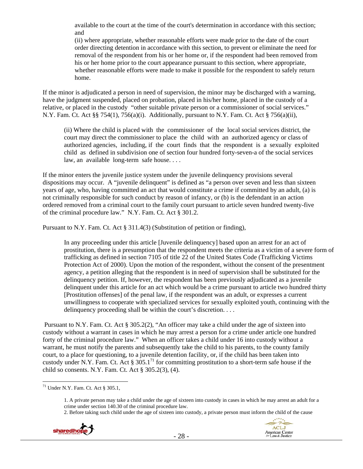available to the court at the time of the court's determination in accordance with this section; and

(ii) where appropriate, whether reasonable efforts were made prior to the date of the court order directing detention in accordance with this section, to prevent or eliminate the need for removal of the respondent from his or her home or, if the respondent had been removed from his or her home prior to the court appearance pursuant to this section, where appropriate, whether reasonable efforts were made to make it possible for the respondent to safely return home.

If the minor is adjudicated a person in need of supervision, the minor may be discharged with a warning, have the judgment suspended, placed on probation, placed in his/her home, placed in the custody of a relative, or placed in the custody "other suitable private person or a commissioner of social services." N.Y. Fam. Ct. Act §§ 754(1), 756(a)(i). Additionally, pursuant to N.Y. Fam. Ct. Act § 756(a)(ii),

(ii) Where the child is placed with the commissioner of the local social services district, the court may direct the commissioner to place the child with an authorized agency or class of authorized agencies, including, if the court finds that the respondent is a sexually exploited child as defined in subdivision one of section four hundred forty-seven-a of the social services law, an available long-term safe house. . . .

If the minor enters the juvenile justice system under the juvenile delinquency provisions several dispositions may occur. A "juvenile delinquent" is defined as "a person over seven and less than sixteen years of age, who, having committed an act that would constitute a crime if committed by an adult, (a) is not criminally responsible for such conduct by reason of infancy, or (b) is the defendant in an action ordered removed from a criminal court to the family court pursuant to article seven hundred twenty-five of the criminal procedure law." N.Y. Fam. Ct. Act § 301.2.

Pursuant to N.Y. Fam. Ct. Act § 311.4(3) (Substitution of petition or finding),

In any proceeding under this article [Juvenile delinquency] based upon an arrest for an act of prostitution, there is a presumption that the respondent meets the criteria as a victim of a severe form of trafficking as defined in section 7105 of title 22 of the United States Code (Trafficking Victims Protection Act of 2000). Upon the motion of the respondent, without the consent of the presentment agency, a petition alleging that the respondent is in need of supervision shall be substituted for the delinquency petition. If, however, the respondent has been previously adjudicated as a juvenile delinquent under this article for an act which would be a crime pursuant to article two hundred thirty [Prostitution offenses] of the penal law, if the respondent was an adult, or expresses a current unwillingness to cooperate with specialized services for sexually exploited youth, continuing with the delinquency proceeding shall be within the court's discretion....

 Pursuant to N.Y. Fam. Ct. Act § 305.2(2), "An officer may take a child under the age of sixteen into custody without a warrant in cases in which he may arrest a person for a crime under article one hundred forty of the criminal procedure law." When an officer takes a child under 16 into custody without a warrant, he must notify the parents and subsequently take the child to his parents, to the county family court, to a place for questioning, to a juvenile detention facility, or, if the child has been taken into custody under N.Y. Fam. Ct. Act § 305.1<sup>71</sup> for committing prostitution to a short-term safe house if the child so consents. N.Y. Fam. Ct. Act § 305.2(3), (4).

<sup>2.</sup> Before taking such child under the age of sixteen into custody, a private person must inform the child of the cause





 $\overline{a}$  $71$  Under N.Y. Fam. Ct. Act § 305.1,

<sup>1.</sup> A private person may take a child under the age of sixteen into custody in cases in which he may arrest an adult for a crime under section 140.30 of the criminal procedure law.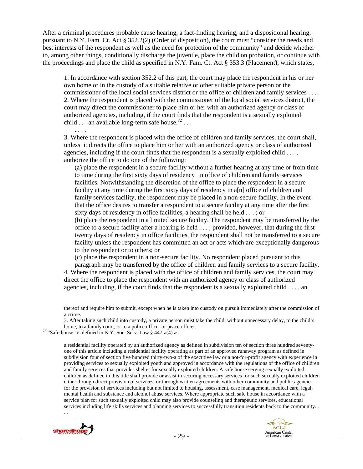After a criminal procedures probable cause hearing, a fact-finding hearing, and a dispositional hearing, pursuant to N.Y. Fam. Ct. Act § 352.2(2) (Order of disposition), the court must "consider the needs and best interests of the respondent as well as the need for protection of the community" and decide whether to, among other things, conditionally discharge the juvenile, place the child on probation, or continue with the proceedings and place the child as specified in N.Y. Fam. Ct. Act § 353.3 (Placement), which states,

1. In accordance with section 352.2 of this part, the court may place the respondent in his or her own home or in the custody of a suitable relative or other suitable private person or the commissioner of the local social services district or the office of children and family services . . . . 2. Where the respondent is placed with the commissioner of the local social services district, the court may direct the commissioner to place him or her with an authorized agency or class of authorized agencies, including, if the court finds that the respondent is a sexually exploited child . . . an available long-term safe house.<sup>72</sup> . . .

. . . . 3. Where the respondent is placed with the office of children and family services, the court shall, unless it directs the office to place him or her with an authorized agency or class of authorized agencies, including if the court finds that the respondent is a sexually exploited child . . . , authorize the office to do one of the following:

(a) place the respondent in a secure facility without a further hearing at any time or from time to time during the first sixty days of residency in office of children and family services facilities. Notwithstanding the discretion of the office to place the respondent in a secure facility at any time during the first sixty days of residency in a[n] office of children and family services facility, the respondent may be placed in a non-secure facility. In the event that the office desires to transfer a respondent to a secure facility at any time after the first sixty days of residency in office facilities, a hearing shall be held . . . ; or

(b) place the respondent in a limited secure facility. The respondent may be transferred by the office to a secure facility after a hearing is held . . . ; provided, however, that during the first twenty days of residency in office facilities, the respondent shall not be transferred to a secure facility unless the respondent has committed an act or acts which are exceptionally dangerous to the respondent or to others; or

(c) place the respondent in a non-secure facility. No respondent placed pursuant to this

paragraph may be transferred by the office of children and family services to a secure facility. 4. Where the respondent is placed with the office of children and family services, the court may direct the office to place the respondent with an authorized agency or class of authorized agencies, including, if the court finds that the respondent is a sexually exploited child  $\dots$ , an

a residential facility operated by an authorized agency as defined in subdivision ten of section three hundred seventyone of this article including a residential facility operating as part of an approved runaway program as defined in subdivision four of section five hundred thirty-two-a of the executive law or a not-for-profit agency with experience in providing services to sexually exploited youth and approved in accordance with the regulations of the office of children and family services that provides shelter for sexually exploited children. A safe house serving sexually exploited children as defined in this title shall provide or assist in securing necessary services for such sexually exploited children either through direct provision of services, or through written agreements with other community and public agencies for the provision of services including but not limited to housing, assessment, case management, medical care, legal, mental health and substance and alcohol abuse services. Where appropriate such safe house in accordance with a service plan for such sexually exploited child may also provide counseling and therapeutic services, educational services including life skills services and planning services to successfully transition residents back to the community. .



. .

thereof and require him to submit, except when he is taken into custody on pursuit immediately after the commission of a crime.

<sup>3.</sup> After taking such child into custody, a private person must take the child, without unnecessary delay, to the child's home, to a family court, or to a police officer or peace officer.<br><sup>72</sup> "Safe house" is defined in N.Y. Soc. Serv. Law § 447-a(4) as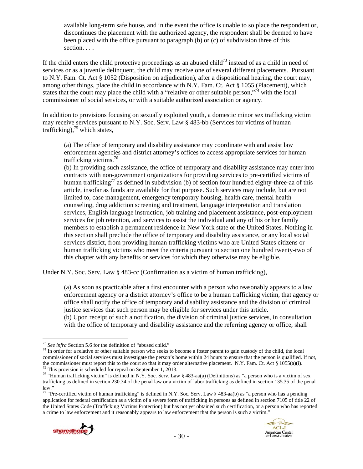available long-term safe house, and in the event the office is unable to so place the respondent or, discontinues the placement with the authorized agency, the respondent shall be deemed to have been placed with the office pursuant to paragraph (b) or (c) of subdivision three of this section. . . .

If the child enters the child protective proceedings as an abused child<sup>73</sup> instead of as a child in need of services or as a juvenile delinquent, the child may receive one of several different placements. Pursuant to N.Y. Fam. Ct. Act § 1052 (Disposition on adjudication), after a dispositional hearing, the court may, among other things, place the child in accordance with N.Y. Fam. Ct. Act § 1055 (Placement), which states that the court may place the child with a "relative or other suitable person,"<sup>74</sup> with the local commissioner of social services, or with a suitable authorized association or agency.

In addition to provisions focusing on sexually exploited youth, a domestic minor sex trafficking victim may receive services pursuant to N.Y. Soc. Serv. Law § 483-bb (Services for victims of human trafficking), $^{75}$  which states,

(a) The office of temporary and disability assistance may coordinate with and assist law enforcement agencies and district attorney's offices to access appropriate services for human trafficking victims.<sup>76</sup>

(b) In providing such assistance, the office of temporary and disability assistance may enter into contracts with non-government organizations for providing services to pre-certified victims of human trafficking<sup>77</sup> as defined in subdivision (b) of section four hundred eighty-three-aa of this article, insofar as funds are available for that purpose. Such services may include, but are not limited to, case management, emergency temporary housing, health care, mental health counseling, drug addiction screening and treatment, language interpretation and translation services, English language instruction, job training and placement assistance, post-employment services for job retention, and services to assist the individual and any of his or her family members to establish a permanent residence in New York state or the United States. Nothing in this section shall preclude the office of temporary and disability assistance, or any local social services district, from providing human trafficking victims who are United States citizens or human trafficking victims who meet the criteria pursuant to section one hundred twenty-two of this chapter with any benefits or services for which they otherwise may be eligible.

Under N.Y. Soc. Serv. Law § 483-cc (Confirmation as a victim of human trafficking),

(a) As soon as practicable after a first encounter with a person who reasonably appears to a law enforcement agency or a district attorney's office to be a human trafficking victim, that agency or office shall notify the office of temporary and disability assistance and the division of criminal justice services that such person may be eligible for services under this article.

(b) Upon receipt of such a notification, the division of criminal justice services, in consultation with the office of temporary and disability assistance and the referring agency or office, shall

<sup>&</sup>lt;sup>77</sup> "Pre-certified victim of human trafficking" is defined in N.Y. Soc. Serv. Law § 483-aa(b) as "a person who has a pending application for federal certification as a victim of a severe form of trafficking in persons as defined in section 7105 of title 22 of the United States Code (Trafficking Victims Protection) but has not yet obtained such certification, or a person who has reported a crime to law enforcement and it reasonably appears to law enforcement that the person is such a victim."





 $\overline{a}$ 

<sup>&</sup>lt;sup>73</sup> See infra Section 5.6 for the definition of "abused child."<br><sup>74</sup> In order for a relative or other suitable person who seeks to become a foster parent to gain custody of the child, the local commissioner of social services must investigate the person's home within 24 hours to ensure that the person is qualified. If not, the commissioner must report this to the court so that it may order alternative placement. N.Y. Fam. Ct. Act § 1055(a)(i). <sup>75</sup> This provision is scheduled for repeal on September 1, 2013.

<sup>76 &</sup>quot;Human trafficking victim" is defined in N.Y. Soc. Serv. Law § 483-aa(a) (Definitions) as "a person who is a victim of sex trafficking as defined in section 230.34 of the penal law or a victim of labor trafficking as defined in section 135.35 of the penal law."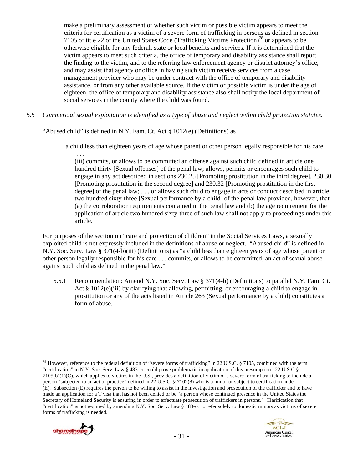make a preliminary assessment of whether such victim or possible victim appears to meet the criteria for certification as a victim of a severe form of trafficking in persons as defined in section 7105 of title 22 of the United States Code (Trafficking Victims Protection)<sup>78</sup> or appears to be otherwise eligible for any federal, state or local benefits and services. If it is determined that the victim appears to meet such criteria, the office of temporary and disability assistance shall report the finding to the victim, and to the referring law enforcement agency or district attorney's office, and may assist that agency or office in having such victim receive services from a case management provider who may be under contract with the office of temporary and disability assistance, or from any other available source. If the victim or possible victim is under the age of eighteen, the office of temporary and disability assistance also shall notify the local department of social services in the county where the child was found.

*5.5 Commercial sexual exploitation is identified as a type of abuse and neglect within child protection statutes.* 

"Abused child" is defined in N.Y. Fam. Ct. Act § 1012(e) (Definitions) as

a child less than eighteen years of age whose parent or other person legally responsible for his care

(iii) commits, or allows to be committed an offense against such child defined in article one hundred thirty [Sexual offenses] of the penal law; allows, permits or encourages such child to engage in any act described in sections 230.25 [Promoting prostitution in the third degree], 230.30 [Promoting prostitution in the second degree] and 230.32 [Promoting prostitution in the first degree] of the penal law; . . . or allows such child to engage in acts or conduct described in article two hundred sixty-three [Sexual performance by a child] of the penal law provided, however, that (a) the corroboration requirements contained in the penal law and (b) the age requirement for the application of article two hundred sixty-three of such law shall not apply to proceedings under this article.

For purposes of the section on "care and protection of children" in the Social Services Laws, a sexually exploited child is not expressly included in the definitions of abuse or neglect. "Abused child" is defined in N.Y. Soc. Serv. Law § 371(4-b)(iii) (Definitions) as "a child less than eighteen years of age whose parent or other person legally responsible for his care . . . commits, or allows to be committed, an act of sexual abuse against such child as defined in the penal law."

5.5.1 Recommendation: Amend N.Y. Soc. Serv. Law § 371(4-b) (Definitions) to parallel N.Y. Fam. Ct. Act  $\S 1012(e)$ (iii) by clarifying that allowing, permitting, or encouraging a child to engage in prostitution or any of the acts listed in Article 263 (Sexual performance by a child) constitutes a form of abuse.

 $\overline{a}$ <sup>78</sup> However, reference to the federal definition of "severe forms of trafficking" in 22 U.S.C. § 7105, combined with the term "certification" in N.Y. Soc. Serv. Law § 483-cc could prove problematic in application of this presumption. 22 U.S.C § 7105(b)(1)(C), which applies to victims in the U.S., provides a definition of victim of a severe form of trafficking to include a person "subjected to an act or practice" defined in 22 U.S.C. § 7102(8) who is a minor or subject to certification under (E). Subsection (E) requires the person to be willing to assist in the investigation and prosecution of the trafficker and to have made an application for a T visa that has not been denied or be "a person whose continued presence in the United States the Secretary of Homeland Security is ensuring in order to effectuate prosecution of traffickers in persons." Clarification that "certification" is not required by amending N.Y. Soc. Serv. Law § 483-cc to refer solely to domestic minors as victims of severe forms of trafficking is needed.



. . .

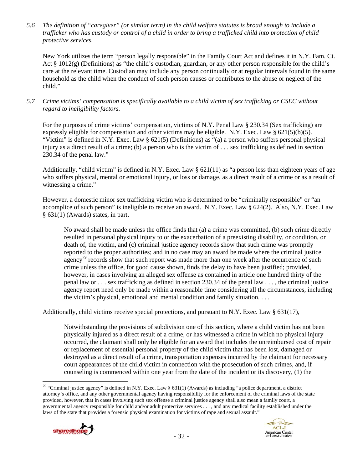*5.6 The definition of "caregiver" (or similar term) in the child welfare statutes is broad enough to include a trafficker who has custody or control of a child in order to bring a trafficked child into protection of child protective services.* 

New York utilizes the term "person legally responsible" in the Family Court Act and defines it in N.Y. Fam. Ct. Act  $\S 1012(g)$  (Definitions) as "the child's custodian, guardian, or any other person responsible for the child's care at the relevant time. Custodian may include any person continually or at regular intervals found in the same household as the child when the conduct of such person causes or contributes to the abuse or neglect of the child."

*5.7 Crime victims' compensation is specifically available to a child victim of sex trafficking or CSEC without regard to ineligibility factors.* 

For the purposes of crime victims' compensation, victims of N.Y. Penal Law § 230.34 (Sex trafficking) are expressly eligible for compensation and other victims may be eligible. N.Y. Exec. Law  $\S 621(5)(b)(5)$ . "Victim" is defined in N.Y. Exec. Law § 621(5) (Definitions) as "(a) a person who suffers personal physical injury as a direct result of a crime; (b) a person who is the victim of . . . sex trafficking as defined in section 230.34 of the penal law."

Additionally, "child victim" is defined in N.Y. Exec. Law  $\S 621(11)$  as "a person less than eighteen years of age who suffers physical, mental or emotional injury, or loss or damage, as a direct result of a crime or as a result of witnessing a crime."

However, a domestic minor sex trafficking victim who is determined to be "criminally responsible" or "an accomplice of such person" is ineligible to receive an award. N.Y. Exec. Law § 624(2). Also, N.Y. Exec. Law § 631(1) (Awards) states, in part,

No award shall be made unless the office finds that (a) a crime was committed, (b) such crime directly resulted in personal physical injury to or the exacerbation of a preexisting disability, or condition, or death of, the victim, and (c) criminal justice agency records show that such crime was promptly reported to the proper authorities; and in no case may an award be made where the criminal justice agency<sup>79</sup> records show that such report was made more than one week after the occurrence of such crime unless the office, for good cause shown, finds the delay to have been justified; provided, however, in cases involving an alleged sex offense as contained in article one hundred thirty of the penal law or . . . sex trafficking as defined in section 230.34 of the penal law . . . , the criminal justice agency report need only be made within a reasonable time considering all the circumstances, including the victim's physical, emotional and mental condition and family situation. . . .

Additionally, child victims receive special protections, and pursuant to N.Y. Exec. Law § 631(17),

Notwithstanding the provisions of subdivision one of this section, where a child victim has not been physically injured as a direct result of a crime, or has witnessed a crime in which no physical injury occurred, the claimant shall only be eligible for an award that includes the unreimbursed cost of repair or replacement of essential personal property of the child victim that has been lost, damaged or destroyed as a direct result of a crime, transportation expenses incurred by the claimant for necessary court appearances of the child victim in connection with the prosecution of such crimes, and, if counseling is commenced within one year from the date of the incident or its discovery, (1) the

<sup>&</sup>lt;sup>79</sup> "Criminal justice agency" is defined in N.Y. Exec. Law § 631(1) (Awards) as including "a police department, a district attorney's office, and any other governmental agency having responsibility for the enforcement of the criminal laws of the state provided, however, that in cases involving such sex offense a criminal justice agency shall also mean a family court, a governmental agency responsible for child and/or adult protective services . . . , and any medical facility established under the laws of the state that provides a forensic physical examination for victims of rape and sexual assault."



 $\overline{a}$ 

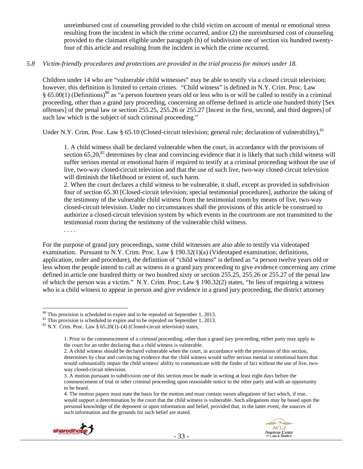unreimbursed cost of counseling provided to the child victim on account of mental or emotional stress resulting from the incident in which the crime occurred, and/or (2) the unreimbursed cost of counseling provided to the claimant eligible under paragraph (h) of subdivision one of section six hundred twentyfour of this article and resulting from the incident in which the crime occurred.

# *5.8 Victim-friendly procedures and protections are provided in the trial process for minors under 18.*

Children under 14 who are "vulnerable child witnesses" may be able to testify via a closed circuit television; however, this definition is limited to certain crimes. "Child witness" is defined in N.Y. Crim. Proc. Law § 65.00(1) (Definitions)<sup>80</sup> as "a person fourteen years old or less who is or will be called to testify in a criminal proceeding, other than a grand jury proceeding, concerning an offense defined in article one hundred thirty [Sex offenses] of the penal law or section 255.25, 255.26 or 255.27 [Incest in the first, second, and third degrees] of such law which is the subject of such criminal proceeding."

Under N.Y. Crim. Proc. Law § 65.10 (Closed-circuit television; general rule; declaration of vulnerability),  $81$ 

1. A child witness shall be declared vulnerable when the court, in accordance with the provisions of section  $65.20$ ,  $82$  determines by clear and convincing evidence that it is likely that such child witness will suffer serious mental or emotional harm if required to testify at a criminal proceeding without the use of live, two-way closed-circuit television and that the use of such live, two-way closed-circuit television will diminish the likelihood or extent of, such harm.

2. When the court declares a child witness to be vulnerable, it shall, except as provided in subdivision four of section 65.30 [Closed-circuit television; special testimonial procedures], authorize the taking of the testimony of the vulnerable child witness from the testimonial room by means of live, two-way closed-circuit television. Under no circumstances shall the provisions of this article be construed to authorize a closed-circuit television system by which events in the courtroom are not transmitted to the testimonial room during the testimony of the vulnerable child witness.

. . . .

For the purpose of grand jury proceedings, some child witnesses are also able to testify via videotaped examination. Pursuant to N.Y. Crim. Proc. Law § 190.32(1)(a) (Videotaped examination; definitions, application, order and procedure), the definition of "child witness" is defined as "a person twelve years old or less whom the people intend to call as witness in a grand jury proceeding to give evidence concerning any crime defined in article one hundred thirty or two hundred sixty or section 255.25, 255.26 or 255.27 of the penal law of which the person was a victim." N.Y. Crim. Proc. Law § 190.32(2) states, "In lieu of requiring a witness who is a child witness to appear in person and give evidence in a grand jury proceeding, the district attorney

<sup>4.</sup> The motion papers must state the basis for the motion and must contain sworn allegations of fact which, if true, would support a determination by the court that the child witness is vulnerable. Such allegations may be based upon the personal knowledge of the deponent or upon information and belief, provided that, in the latter event, the sources of such information and the grounds for such belief are stated.



 $80$  This provision is scheduled to expire and to be repealed on September 1, 2013.

<sup>&</sup>lt;sup>81</sup> This provision is scheduled to expire and to be repealed on September 1, 2013.<br><sup>82</sup> N.Y. Crim. Proc. Law § 65.20(1)–(4) (Closed-circuit television) states,

<sup>1.</sup> Prior to the commencement of a criminal proceeding; other than a grand jury proceeding, either party may apply to the court for an order declaring that a child witness is vulnerable.

<sup>2.</sup> A child witness should be declared vulnerable when the court, in accordance with the provisions of this section, determines by clear and convincing evidence that the child witness would suffer serious mental or emotional harm that would substantially impair the child witness' ability to communicate with the finder of fact without the use of live, twoway closed-circuit television.

<sup>3.</sup> A motion pursuant to subdivision one of this section must be made in writing at least eight days before the commencement of trial or other criminal proceeding upon reasonable notice to the other party and with an opportunity to be heard.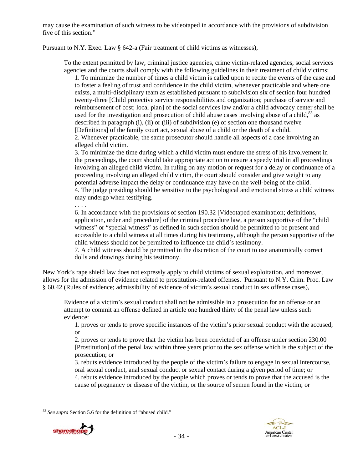may cause the examination of such witness to be videotaped in accordance with the provisions of subdivision five of this section."

Pursuant to N.Y. Exec. Law § 642-a (Fair treatment of child victims as witnesses),

To the extent permitted by law, criminal justice agencies, crime victim-related agencies, social services agencies and the courts shall comply with the following guidelines in their treatment of child victims:

1. To minimize the number of times a child victim is called upon to recite the events of the case and to foster a feeling of trust and confidence in the child victim, whenever practicable and where one exists, a multi-disciplinary team as established pursuant to subdivision six of section four hundred twenty-three [Child protective service responsibilities and organization; purchase of service and reimbursement of cost; local plan] of the social services law and/or a child advocacy center shall be used for the investigation and prosecution of child abuse cases involving abuse of a child,<sup>83</sup> as described in paragraph (i), (ii) or (iii) of subdivision (e) of section one thousand twelve [Definitions] of the family court act, sexual abuse of a child or the death of a child. 2. Whenever practicable, the same prosecutor should handle all aspects of a case involving an alleged child victim.

3. To minimize the time during which a child victim must endure the stress of his involvement in the proceedings, the court should take appropriate action to ensure a speedy trial in all proceedings involving an alleged child victim. In ruling on any motion or request for a delay or continuance of a proceeding involving an alleged child victim, the court should consider and give weight to any potential adverse impact the delay or continuance may have on the well-being of the child. 4. The judge presiding should be sensitive to the psychological and emotional stress a child witness may undergo when testifying.

. . . .

6. In accordance with the provisions of section 190.32 [Videotaped examination; definitions, application, order and procedure] of the criminal procedure law, a person supportive of the "child witness" or "special witness" as defined in such section should be permitted to be present and accessible to a child witness at all times during his testimony, although the person supportive of the child witness should not be permitted to influence the child's testimony.

7. A child witness should be permitted in the discretion of the court to use anatomically correct dolls and drawings during his testimony.

New York's rape shield law does not expressly apply to child victims of sexual exploitation, and moreover, allows for the admission of evidence related to prostitution-related offenses. Pursuant to N.Y. Crim. Proc. Law § 60.42 (Rules of evidence; admissibility of evidence of victim's sexual conduct in sex offense cases),

Evidence of a victim's sexual conduct shall not be admissible in a prosecution for an offense or an attempt to commit an offense defined in article one hundred thirty of the penal law unless such evidence:

1. proves or tends to prove specific instances of the victim's prior sexual conduct with the accused; or

2. proves or tends to prove that the victim has been convicted of an offense under section 230.00 [Prostitution] of the penal law within three years prior to the sex offense which is the subject of the prosecution; or

3. rebuts evidence introduced by the people of the victim's failure to engage in sexual intercourse, oral sexual conduct, anal sexual conduct or sexual contact during a given period of time; or 4. rebuts evidence introduced by the people which proves or tends to prove that the accused is the cause of pregnancy or disease of the victim, or the source of semen found in the victim; or

 $\overline{a}$ <sup>83</sup> *See supra* Section 5.6 for the definition of "abused child."



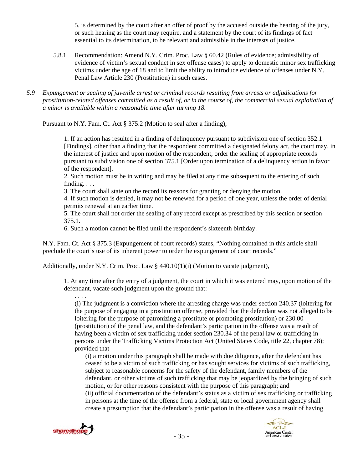5. is determined by the court after an offer of proof by the accused outside the hearing of the jury, or such hearing as the court may require, and a statement by the court of its findings of fact essential to its determination, to be relevant and admissible in the interests of justice.

- 5.8.1 Recommendation: Amend N.Y. Crim. Proc. Law § 60.42 (Rules of evidence; admissibility of evidence of victim's sexual conduct in sex offense cases) to apply to domestic minor sex trafficking victims under the age of 18 and to limit the ability to introduce evidence of offenses under N.Y. Penal Law Article 230 (Prostitution) in such cases.
- *5.9 Expungement or sealing of juvenile arrest or criminal records resulting from arrests or adjudications for prostitution-related offenses committed as a result of, or in the course of, the commercial sexual exploitation of a minor is available within a reasonable time after turning 18.*

Pursuant to N.Y. Fam. Ct. Act § 375.2 (Motion to seal after a finding),

1. If an action has resulted in a finding of delinquency pursuant to subdivision one of section 352.1 [Findings], other than a finding that the respondent committed a designated felony act, the court may, in the interest of justice and upon motion of the respondent, order the sealing of appropriate records pursuant to subdivision one of section 375.1 [Order upon termination of a delinquency action in favor of the respondent].

2. Such motion must be in writing and may be filed at any time subsequent to the entering of such finding. . . .

3. The court shall state on the record its reasons for granting or denying the motion.

4. If such motion is denied, it may not be renewed for a period of one year, unless the order of denial permits renewal at an earlier time.

5. The court shall not order the sealing of any record except as prescribed by this section or section 375.1.

6. Such a motion cannot be filed until the respondent's sixteenth birthday.

N.Y. Fam. Ct. Act § 375.3 (Expungement of court records) states, "Nothing contained in this article shall preclude the court's use of its inherent power to order the expungement of court records."

Additionally, under N.Y. Crim. Proc. Law  $\S$  440.10(1)(i) (Motion to vacate judgment),

1. At any time after the entry of a judgment, the court in which it was entered may, upon motion of the defendant, vacate such judgment upon the ground that:

(i) The judgment is a conviction where the arresting charge was under section 240.37 (loitering for the purpose of engaging in a prostitution offense, provided that the defendant was not alleged to be loitering for the purpose of patronizing a prostitute or promoting prostitution) or 230.00 (prostitution) of the penal law, and the defendant's participation in the offense was a result of having been a victim of sex trafficking under section 230.34 of the penal law or trafficking in persons under the Trafficking Victims Protection Act (United States Code, title 22, chapter 78); provided that

(i) a motion under this paragraph shall be made with due diligence, after the defendant has ceased to be a victim of such trafficking or has sought services for victims of such trafficking, subject to reasonable concerns for the safety of the defendant, family members of the defendant, or other victims of such trafficking that may be jeopardized by the bringing of such motion, or for other reasons consistent with the purpose of this paragraph; and (ii) official documentation of the defendant's status as a victim of sex trafficking or trafficking in persons at the time of the offense from a federal, state or local government agency shall create a presumption that the defendant's participation in the offense was a result of having



. . . .

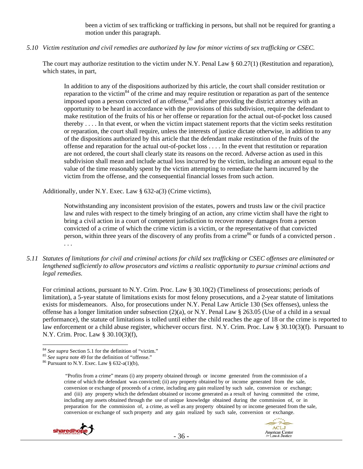been a victim of sex trafficking or trafficking in persons, but shall not be required for granting a motion under this paragraph.

*5.10 Victim restitution and civil remedies are authorized by law for minor victims of sex trafficking or CSEC.* 

The court may authorize restitution to the victim under N.Y. Penal Law § 60.27(1) (Restitution and reparation), which states, in part,

In addition to any of the dispositions authorized by this article, the court shall consider restitution or reparation to the victim $^{84}$  of the crime and may require restitution or reparation as part of the sentence imposed upon a person convicted of an offense, $85$  and after providing the district attorney with an opportunity to be heard in accordance with the provisions of this subdivision, require the defendant to make restitution of the fruits of his or her offense or reparation for the actual out-of-pocket loss caused thereby . . . . In that event, or when the victim impact statement reports that the victim seeks restitution or reparation, the court shall require, unless the interests of justice dictate otherwise, in addition to any of the dispositions authorized by this article that the defendant make restitution of the fruits of the offense and reparation for the actual out-of-pocket loss . . . . In the event that restitution or reparation are not ordered, the court shall clearly state its reasons on the record. Adverse action as used in this subdivision shall mean and include actual loss incurred by the victim, including an amount equal to the value of the time reasonably spent by the victim attempting to remediate the harm incurred by the victim from the offense, and the consequential financial losses from such action.

Additionally, under N.Y. Exec. Law § 632-a(3) (Crime victims),

Notwithstanding any inconsistent provision of the estates, powers and trusts law or the civil practice law and rules with respect to the timely bringing of an action, any crime victim shall have the right to bring a civil action in a court of competent jurisdiction to recover money damages from a person convicted of a crime of which the crime victim is a victim, or the representative of that convicted person, within three years of the discovery of any profits from a crime<sup>86</sup> or funds of a convicted person. . . .

*5.11 Statutes of limitations for civil and criminal actions for child sex trafficking or CSEC offenses are eliminated or lengthened sufficiently to allow prosecutors and victims a realistic opportunity to pursue criminal actions and legal remedies.* 

For criminal actions, pursuant to N.Y. Crim. Proc. Law § 30.10(2) (Timeliness of prosecutions; periods of limitation), a 5-year statute of limitations exists for most felony prosecutions, and a 2-year statute of limitations exists for misdemeanors. Also, for prosecutions under N.Y. Penal Law Article 130 (Sex offenses), unless the offense has a longer limitation under subsection (2)(a), or N.Y. Penal Law § 263.05 (Use of a child in a sexual performance), the statute of limitations is tolled until either the child reaches the age of 18 or the crime is reported to law enforcement or a child abuse register, whichever occurs first. N.Y. Crim. Proc. Law § 30.10(3)(f). Pursuant to N.Y. Crim. Proc. Law § 30.10(3)(f),

 <sup>&</sup>quot;Profits from a crime" means (i) any property obtained through or income generated from the commission of a crime of which the defendant was convicted; (ii) any property obtained by or income generated from the sale, conversion or exchange of proceeds of a crime, including any gain realized by such sale, conversion or exchange; and (iii) any property which the defendant obtained or income generated as a result of having committed the crime, including any assets obtained through the use of unique knowledge obtained during the commission of, or in preparation for the commission of, a crime, as well as any property obtained by or income generated from the sale, conversion or exchange of such property and any gain realized by such sale, conversion or exchange.



 $\overline{a}$ 



<sup>84</sup> *See supra* Section 5.1 for the definition of "victim." 85 *See supra* note 49 for the definition of "offense." 86 Pursuant to N.Y. Exec. Law § 632-a(1)(b),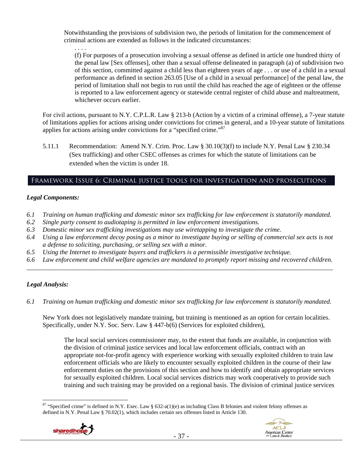Notwithstanding the provisions of subdivision two, the periods of limitation for the commencement of criminal actions are extended as follows in the indicated circumstances:

. . . . (f) For purposes of a prosecution involving a sexual offense as defined in article one hundred thirty of the penal law [Sex offenses], other than a sexual offense delineated in paragraph (a) of subdivision two of this section, committed against a child less than eighteen years of age . . . or use of a child in a sexual performance as defined in section 263.05 [Use of a child in a sexual performance] of the penal law, the period of limitation shall not begin to run until the child has reached the age of eighteen or the offense is reported to a law enforcement agency or statewide central register of child abuse and maltreatment, whichever occurs earlier.

For civil actions, pursuant to N.Y. C.P.L.R. Law § 213-b (Action by a victim of a criminal offense), a 7-year statute of limitations applies for actions arising under convictions for crimes in general, and a 10-year statute of limitations applies for actions arising under convictions for a "specified crime."<sup>87</sup>

5.11.1 Recommendation: Amend N.Y. Crim. Proc. Law § 30.10(3)(f) to include N.Y. Penal Law § 230.34 (Sex trafficking) and other CSEC offenses as crimes for which the statute of limitations can be extended when the victim is under 18.

# Framework Issue 6: Criminal justice tools for investigation and prosecutions

# *Legal Components:*

- *6.1 Training on human trafficking and domestic minor sex trafficking for law enforcement is statutorily mandated.*
- *6.2 Single party consent to audiotaping is permitted in law enforcement investigations.*
- *6.3 Domestic minor sex trafficking investigations may use wiretapping to investigate the crime.*
- *6.4 Using a law enforcement decoy posing as a minor to investigate buying or selling of commercial sex acts is not a defense to soliciting, purchasing, or selling sex with a minor.*
- *6.5 Using the Internet to investigate buyers and traffickers is a permissible investigative technique.*
- *6.6 Law enforcement and child welfare agencies are mandated to promptly report missing and recovered children. \_\_\_\_\_\_\_\_\_\_\_\_\_\_\_\_\_\_\_\_\_\_\_\_\_\_\_\_\_\_\_\_\_\_\_\_\_\_\_\_\_\_\_\_\_\_\_\_\_\_\_\_\_\_\_\_\_\_\_\_\_\_\_\_\_\_\_\_\_\_\_\_\_\_\_\_\_\_\_\_\_\_\_\_\_\_\_\_\_\_\_\_\_\_*

# *Legal Analysis:*

*6.1 Training on human trafficking and domestic minor sex trafficking for law enforcement is statutorily mandated.* 

New York does not legislatively mandate training, but training is mentioned as an option for certain localities. Specifically, under N.Y. Soc. Serv. Law § 447-b(6) (Services for exploited children),

The local social services commissioner may, to the extent that funds are available, in conjunction with the division of criminal justice services and local law enforcement officials, contract with an appropriate not-for-profit agency with experience working with sexually exploited children to train law enforcement officials who are likely to encounter sexually exploited children in the course of their law enforcement duties on the provisions of this section and how to identify and obtain appropriate services for sexually exploited children. Local social services districts may work cooperatively to provide such training and such training may be provided on a regional basis. The division of criminal justice services

 $\overline{a}$ <sup>87</sup> "Specified crime" is defined in N.Y. Exec. Law § 632-a(1)(e) as including Class B felonies and violent felony offenses as defined in N.Y. Penal Law § 70.02(1), which includes certain sex offenses listed in Article 130.

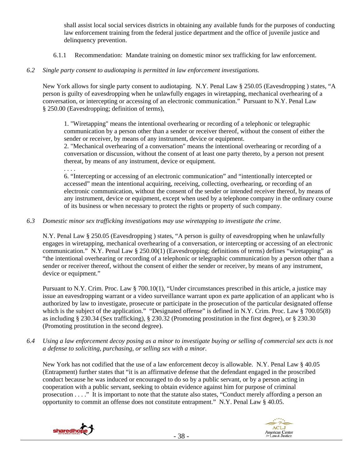shall assist local social services districts in obtaining any available funds for the purposes of conducting law enforcement training from the federal justice department and the office of juvenile justice and delinquency prevention.

6.1.1 Recommendation: Mandate training on domestic minor sex trafficking for law enforcement.

# *6.2 Single party consent to audiotaping is permitted in law enforcement investigations.*

New York allows for single party consent to audiotaping. N.Y. Penal Law § 250.05 (Eavesdropping ) states, "A person is guilty of eavesdropping when he unlawfully engages in wiretapping, mechanical overhearing of a conversation, or intercepting or accessing of an electronic communication." Pursuant to N.Y. Penal Law § 250.00 (Eavesdropping; definition of terms),

1. "Wiretapping" means the intentional overhearing or recording of a telephonic or telegraphic communication by a person other than a sender or receiver thereof, without the consent of either the sender or receiver, by means of any instrument, device or equipment.

2. "Mechanical overhearing of a conversation" means the intentional overhearing or recording of a conversation or discussion, without the consent of at least one party thereto, by a person not present thereat, by means of any instrument, device or equipment.

. . . .

6. "Intercepting or accessing of an electronic communication" and "intentionally intercepted or accessed" mean the intentional acquiring, receiving, collecting, overhearing, or recording of an electronic communication, without the consent of the sender or intended receiver thereof, by means of any instrument, device or equipment, except when used by a telephone company in the ordinary course of its business or when necessary to protect the rights or property of such company.

# *6.3 Domestic minor sex trafficking investigations may use wiretapping to investigate the crime.*

N.Y. Penal Law § 250.05 (Eavesdropping ) states, "A person is guilty of eavesdropping when he unlawfully engages in wiretapping, mechanical overhearing of a conversation, or intercepting or accessing of an electronic communication." N.Y. Penal Law § 250.00(1) (Eavesdropping; definitions of terms) defines "wiretapping" as "the intentional overhearing or recording of a telephonic or telegraphic communication by a person other than a sender or receiver thereof, without the consent of either the sender or receiver, by means of any instrument, device or equipment."

Pursuant to N.Y. Crim. Proc. Law § 700.10(1), "Under circumstances prescribed in this article, a justice may issue an eavesdropping warrant or a video surveillance warrant upon ex parte application of an applicant who is authorized by law to investigate, prosecute or participate in the prosecution of the particular designated offense which is the subject of the application." "Designated offense" is defined in N.Y. Crim. Proc. Law § 700.05(8) as including § 230.34 (Sex trafficking), § 230.32 (Promoting prostitution in the first degree), or § 230.30 (Promoting prostitution in the second degree).

*6.4 Using a law enforcement decoy posing as a minor to investigate buying or selling of commercial sex acts is not a defense to soliciting, purchasing, or selling sex with a minor.* 

New York has not codified that the use of a law enforcement decoy is allowable. N.Y. Penal Law § 40.05 (Entrapment) further states that "it is an affirmative defense that the defendant engaged in the proscribed conduct because he was induced or encouraged to do so by a public servant, or by a person acting in cooperation with a public servant, seeking to obtain evidence against him for purpose of criminal prosecution . . . ." It is important to note that the statute also states, "Conduct merely affording a person an opportunity to commit an offense does not constitute entrapment." N.Y. Penal Law § 40.05.



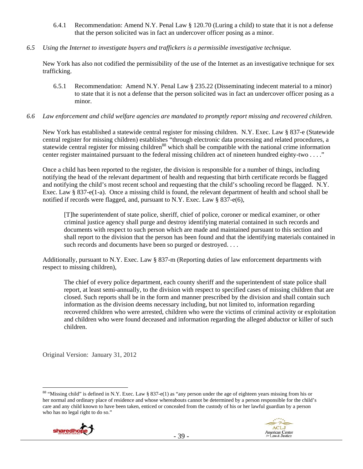- 6.4.1 Recommendation: Amend N.Y. Penal Law § 120.70 (Luring a child) to state that it is not a defense that the person solicited was in fact an undercover officer posing as a minor.
- *6.5 Using the Internet to investigate buyers and traffickers is a permissible investigative technique.*

New York has also not codified the permissibility of the use of the Internet as an investigative technique for sex trafficking.

- 6.5.1 Recommendation: Amend N.Y. Penal Law § 235.22 (Disseminating indecent material to a minor) to state that it is not a defense that the person solicited was in fact an undercover officer posing as a minor.
- *6.6 Law enforcement and child welfare agencies are mandated to promptly report missing and recovered children.*

New York has established a statewide central register for missing children. N.Y. Exec. Law § 837-e (Statewide central register for missing children) establishes "through electronic data processing and related procedures, a statewide central register for missing children<sup>88</sup> which shall be compatible with the national crime information center register maintained pursuant to the federal missing children act of nineteen hundred eighty-two  $\dots$ ."

Once a child has been reported to the register, the division is responsible for a number of things, including notifying the head of the relevant department of health and requesting that birth certificate records be flagged and notifying the child's most recent school and requesting that the child's schooling record be flagged. N.Y. Exec. Law § 837-e(1-a). Once a missing child is found, the relevant department of health and school shall be notified if records were flagged, and, pursuant to N.Y. Exec. Law § 837-e(6),

[T]he superintendent of state police, sheriff, chief of police, coroner or medical examiner, or other criminal justice agency shall purge and destroy identifying material contained in such records and documents with respect to such person which are made and maintained pursuant to this section and shall report to the division that the person has been found and that the identifying materials contained in such records and documents have been so purged or destroyed....

Additionally, pursuant to N.Y. Exec. Law § 837-m (Reporting duties of law enforcement departments with respect to missing children),

The chief of every police department, each county sheriff and the superintendent of state police shall report, at least semi-annually, to the division with respect to specified cases of missing children that are closed. Such reports shall be in the form and manner prescribed by the division and shall contain such information as the division deems necessary including, but not limited to, information regarding recovered children who were arrested, children who were the victims of criminal activity or exploitation and children who were found deceased and information regarding the alleged abductor or killer of such children.

Original Version: January 31, 2012

 $\overline{a}$ <sup>88</sup> "Missing child" is defined in N.Y. Exec. Law § 837-e(1) as "any person under the age of eighteen years missing from his or her normal and ordinary place of residence and whose whereabouts cannot be determined by a person responsible for the child's care and any child known to have been taken, enticed or concealed from the custody of his or her lawful guardian by a person who has no legal right to do so."